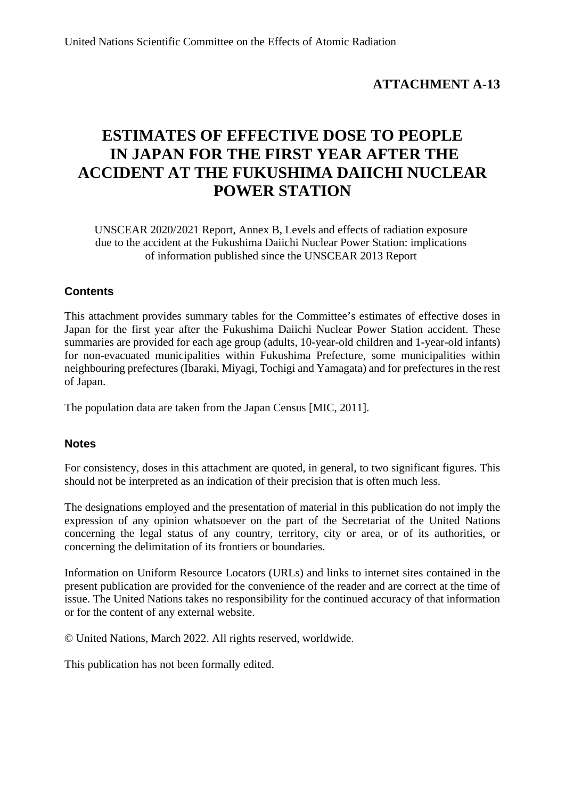# **ATTACHMENT A-13**

# **ESTIMATES OF EFFECTIVE DOSE TO PEOPLE IN JAPAN FOR THE FIRST YEAR AFTER THE ACCIDENT AT THE FUKUSHIMA DAIICHI NUCLEAR POWER STATION**

UNSCEAR 2020/2021 Report, Annex B, Levels and effects of radiation exposure due to the accident at the Fukushima Daiichi Nuclear Power Station: implications of information published since the UNSCEAR 2013 Report

# **Contents**

This attachment provides summary tables for the Committee's estimates of effective doses in Japan for the first year after the Fukushima Daiichi Nuclear Power Station accident. These summaries are provided for each age group (adults, 10-year-old children and 1-year-old infants) for non-evacuated municipalities within Fukushima Prefecture, some municipalities within neighbouring prefectures (Ibaraki, Miyagi, Tochigi and Yamagata) and for prefectures in the rest of Japan.

The population data are taken from the Japan Census [MIC, 2011].

## **Notes**

For consistency, doses in this attachment are quoted, in general, to two significant figures. This should not be interpreted as an indication of their precision that is often much less.

The designations employed and the presentation of material in this publication do not imply the expression of any opinion whatsoever on the part of the Secretariat of the United Nations concerning the legal status of any country, territory, city or area, or of its authorities, or concerning the delimitation of its frontiers or boundaries.

Information on Uniform Resource Locators (URLs) and links to internet sites contained in the present publication are provided for the convenience of the reader and are correct at the time of issue. The United Nations takes no responsibility for the continued accuracy of that information or for the content of any external website.

© United Nations, March 2022. All rights reserved, worldwide.

This publication has not been formally edited.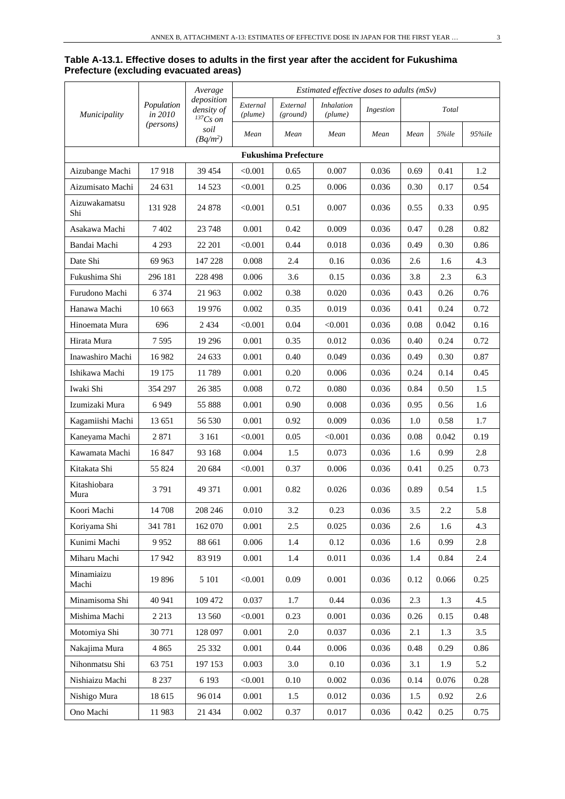#### **Table A-13.1. Effective doses to adults in the first year after the accident for Fukushima Prefecture (excluding evacuated areas)**

|                      | Estimated effective doses to adults (mSv)<br>Average |                                             |                     |                             |                              |           |      |       |        |
|----------------------|------------------------------------------------------|---------------------------------------------|---------------------|-----------------------------|------------------------------|-----------|------|-------|--------|
| <i>Municipality</i>  | Population<br>in 2010                                | deposition<br>density of<br>${}^{137}Cs$ on | External<br>(plume) | External<br>(ground)        | <b>Inhalation</b><br>(plume) | Ingestion |      | Total |        |
|                      | ( <i>persons</i> )                                   | soil<br>$(Bq/m^2)$                          | Mean                | Mean                        | Mean                         | Mean      | Mean | 5%ile | 95%ile |
|                      |                                                      |                                             |                     | <b>Fukushima Prefecture</b> |                              |           |      |       |        |
| Aizubange Machi      | 17918                                                | 39 4 54                                     | < 0.001             | 0.65                        | 0.007                        | 0.036     | 0.69 | 0.41  | 1.2    |
| Aizumisato Machi     | 24 631                                               | 14 5 23                                     | < 0.001             | 0.25                        | 0.006                        | 0.036     | 0.30 | 0.17  | 0.54   |
| Aizuwakamatsu<br>Shi | 131 928                                              | 24 878                                      | < 0.001             | 0.51                        | 0.007                        | 0.036     | 0.55 | 0.33  | 0.95   |
| Asakawa Machi        | 7402                                                 | 23 748                                      | 0.001               | 0.42                        | 0.009                        | 0.036     | 0.47 | 0.28  | 0.82   |
| Bandai Machi         | 4 2 9 3                                              | 22 201                                      | < 0.001             | 0.44                        | 0.018                        | 0.036     | 0.49 | 0.30  | 0.86   |
| Date Shi             | 69 9 63                                              | 147 228                                     | 0.008               | 2.4                         | 0.16                         | 0.036     | 2.6  | 1.6   | 4.3    |
| Fukushima Shi        | 296 181                                              | 228 498                                     | 0.006               | 3.6                         | 0.15                         | 0.036     | 3.8  | 2.3   | 6.3    |
| Furudono Machi       | 6 3 7 4                                              | 21 963                                      | 0.002               | 0.38                        | 0.020                        | 0.036     | 0.43 | 0.26  | 0.76   |
| Hanawa Machi         | 10 663                                               | 19 976                                      | 0.002               | 0.35                        | 0.019                        | 0.036     | 0.41 | 0.24  | 0.72   |
| Hinoemata Mura       | 696                                                  | 2 4 3 4                                     | $<$ 0.001 $\,$      | 0.04                        | < 0.001                      | 0.036     | 0.08 | 0.042 | 0.16   |
| Hirata Mura          | 7595                                                 | 19 29 6                                     | 0.001               | 0.35                        | 0.012                        | 0.036     | 0.40 | 0.24  | 0.72   |
| Inawashiro Machi     | 16 982                                               | 24 633                                      | 0.001               | 0.40                        | 0.049                        | 0.036     | 0.49 | 0.30  | 0.87   |
| Ishikawa Machi       | 19 175                                               | 11789                                       | 0.001               | 0.20                        | 0.006                        | 0.036     | 0.24 | 0.14  | 0.45   |
| Iwaki Shi            | 354 297                                              | 26 3 8 5                                    | 0.008               | 0.72                        | 0.080                        | 0.036     | 0.84 | 0.50  | 1.5    |
| Izumizaki Mura       | 6949                                                 | 55 888                                      | 0.001               | 0.90                        | 0.008                        | 0.036     | 0.95 | 0.56  | 1.6    |
| Kagamiishi Machi     | 13 651                                               | 56 530                                      | 0.001               | 0.92                        | 0.009                        | 0.036     | 1.0  | 0.58  | 1.7    |
| Kaneyama Machi       | 2871                                                 | 3 1 6 1                                     | < 0.001             | 0.05                        | < 0.001                      | 0.036     | 0.08 | 0.042 | 0.19   |
| Kawamata Machi       | 16847                                                | 93 168                                      | 0.004               | 1.5                         | 0.073                        | 0.036     | 1.6  | 0.99  | 2.8    |
| Kitakata Shi         | 55 824                                               | 20 684                                      | < 0.001             | 0.37                        | 0.006                        | 0.036     | 0.41 | 0.25  | 0.73   |
| Kitashiobara<br>Mura | 3791                                                 | 49 371                                      | 0.001               | 0.82                        | 0.026                        | 0.036     | 0.89 | 0.54  | 1.5    |
| Koori Machi          | 14 708                                               | 208 246                                     | 0.010               | 3.2                         | 0.23                         | 0.036     | 3.5  | 2.2   | 5.8    |
| Koriyama Shi         | 341 781                                              | 162 070                                     | 0.001               | 2.5                         | 0.025                        | 0.036     | 2.6  | 1.6   | 4.3    |
| Kunimi Machi         | 9952                                                 | 88 661                                      | 0.006               | 1.4                         | 0.12                         | 0.036     | 1.6  | 0.99  | 2.8    |
| Miharu Machi         | 17942                                                | 83 919                                      | 0.001               | 1.4                         | 0.011                        | 0.036     | 1.4  | 0.84  | 2.4    |
| Minamiaizu<br>Machi  | 19 896                                               | 5 1 0 1                                     | < 0.001             | 0.09                        | 0.001                        | 0.036     | 0.12 | 0.066 | 0.25   |
| Minamisoma Shi       | 40 941                                               | 109 472                                     | 0.037               | 1.7                         | 0.44                         | 0.036     | 2.3  | 1.3   | 4.5    |
| Mishima Machi        | 2 2 1 3                                              | 13 560                                      | < 0.001             | 0.23                        | 0.001                        | 0.036     | 0.26 | 0.15  | 0.48   |
| Motomiya Shi         | 30 771                                               | 128 097                                     | 0.001               | 2.0                         | 0.037                        | 0.036     | 2.1  | 1.3   | 3.5    |
| Nakajima Mura        | 4 8 6 5                                              | 25 332                                      | 0.001               | 0.44                        | 0.006                        | 0.036     | 0.48 | 0.29  | 0.86   |
| Nihonmatsu Shi       | 63 751                                               | 197 153                                     | 0.003               | 3.0                         | 0.10                         | 0.036     | 3.1  | 1.9   | 5.2    |
| Nishiaizu Machi      | 8 2 3 7                                              | 6 1 9 3                                     | < 0.001             | 0.10                        | 0.002                        | 0.036     | 0.14 | 0.076 | 0.28   |
| Nishigo Mura         | 18 615                                               | 96 014                                      | 0.001               | 1.5                         | 0.012                        | 0.036     | 1.5  | 0.92  | 2.6    |
| Ono Machi            | 11983                                                | 21 4 34                                     | 0.002               | 0.37                        | 0.017                        | 0.036     | 0.42 | 0.25  | 0.75   |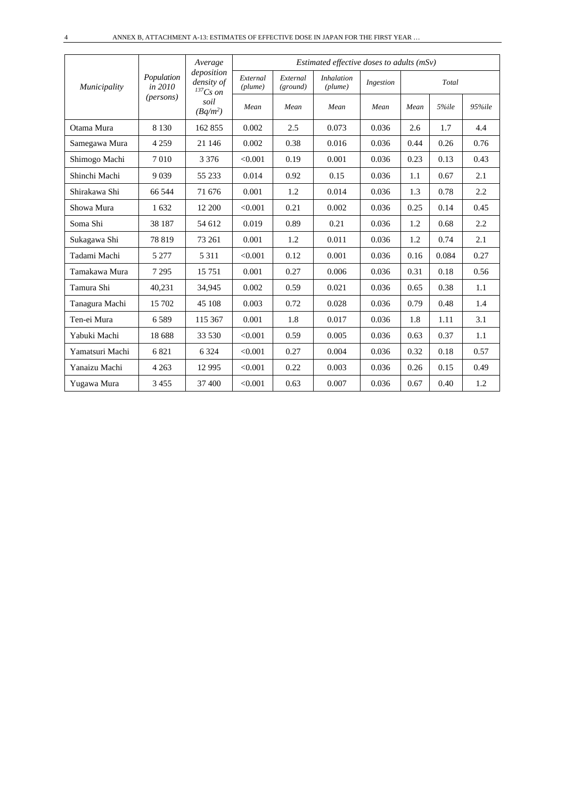|                 |                       | Average                                     | Estimated effective doses to adults $(mSv)$ |                      |                              |           |      |       |        |  |  |
|-----------------|-----------------------|---------------------------------------------|---------------------------------------------|----------------------|------------------------------|-----------|------|-------|--------|--|--|
| Municipality    | Population<br>in 2010 | deposition<br>density of<br>${}^{137}Cs$ on | External<br>(plume)                         | External<br>(ground) | <i>Inhalation</i><br>(plume) | Ingestion |      | Total |        |  |  |
|                 | ( <i>persons</i> )    | soil<br>$(Bq/m^2)$                          | Mean                                        | Mean                 | Mean                         | Mean      | Mean | 5%ile | 95%ile |  |  |
| Otama Mura      | 8 1 3 0               | 162 855                                     | 0.002                                       | 2.5                  | 0.073                        | 0.036     | 2.6  | 1.7   | 4.4    |  |  |
| Samegawa Mura   | 4 2 5 9               | 21 14 6                                     | 0.002                                       | 0.38                 | 0.016                        | 0.036     | 0.44 | 0.26  | 0.76   |  |  |
| Shimogo Machi   | 7010                  | 3 3 7 6                                     | < 0.001                                     | 0.19                 | 0.001                        | 0.036     | 0.23 | 0.13  | 0.43   |  |  |
| Shinchi Machi   | 9039                  | 55 233                                      | 0.014                                       | 0.92                 | 0.15                         | 0.036     | 1.1  | 0.67  | 2.1    |  |  |
| Shirakawa Shi   | 66 544                | 71 676                                      | 0.001                                       | 1.2                  | 0.014                        | 0.036     | 1.3  | 0.78  | 2.2    |  |  |
| Showa Mura      | 1632                  | 12 200                                      | < 0.001                                     | 0.21                 | 0.002                        | 0.036     | 0.25 | 0.14  | 0.45   |  |  |
| Soma Shi        | 38 187                | 54 612                                      | 0.019                                       | 0.89                 | 0.21                         | 0.036     | 1.2  | 0.68  | 2.2    |  |  |
| Sukagawa Shi    | 78 819                | 73 261                                      | 0.001                                       | 1.2                  | 0.011                        | 0.036     | 1.2  | 0.74  | 2.1    |  |  |
| Tadami Machi    | 5 2 7 7               | 5 3 1 1                                     | < 0.001                                     | 0.12                 | 0.001                        | 0.036     | 0.16 | 0.084 | 0.27   |  |  |
| Tamakawa Mura   | 7 2 9 5               | 15751                                       | 0.001                                       | 0.27                 | 0.006                        | 0.036     | 0.31 | 0.18  | 0.56   |  |  |
| Tamura Shi      | 40,231                | 34,945                                      | 0.002                                       | 0.59                 | 0.021                        | 0.036     | 0.65 | 0.38  | 1.1    |  |  |
| Tanagura Machi  | 15 702                | 45 108                                      | 0.003                                       | 0.72                 | 0.028                        | 0.036     | 0.79 | 0.48  | 1.4    |  |  |
| Ten-ei Mura     | 6589                  | 115 367                                     | 0.001                                       | 1.8                  | 0.017                        | 0.036     | 1.8  | 1.11  | 3.1    |  |  |
| Yabuki Machi    | 18 688                | 33 530                                      | < 0.001                                     | 0.59                 | 0.005                        | 0.036     | 0.63 | 0.37  | 1.1    |  |  |
| Yamatsuri Machi | 6821                  | 6 3 2 4                                     | < 0.001                                     | 0.27                 | 0.004                        | 0.036     | 0.32 | 0.18  | 0.57   |  |  |
| Yanaizu Machi   | 4 2 6 3               | 12 9 95                                     | < 0.001                                     | 0.22                 | 0.003                        | 0.036     | 0.26 | 0.15  | 0.49   |  |  |
| Yugawa Mura     | 3455                  | 37 400                                      | < 0.001                                     | 0.63                 | 0.007                        | 0.036     | 0.67 | 0.40  | 1.2    |  |  |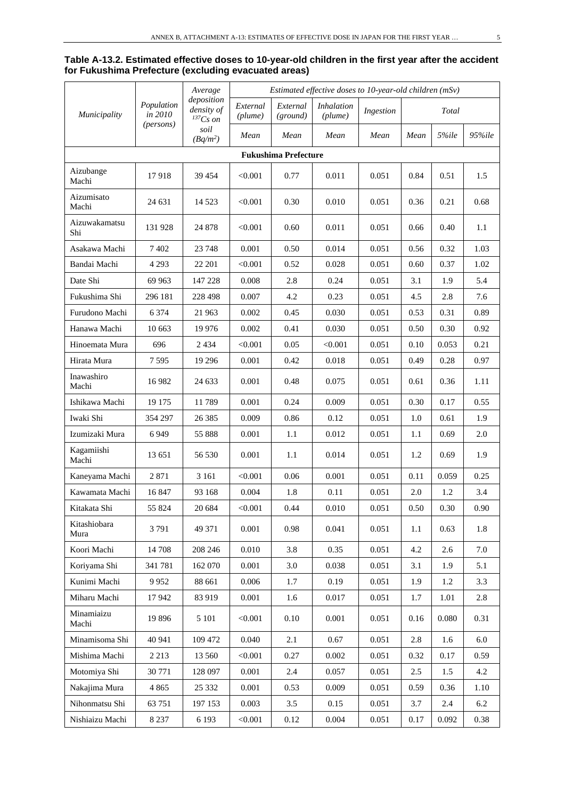| Table A-13.2. Estimated effective doses to 10-year-old children in the first year after the accident |
|------------------------------------------------------------------------------------------------------|
| for Fukushima Prefecture (excluding evacuated areas)                                                 |

|                      | Estimated effective doses to 10-year-old children (mSv)<br>Average |                                             |                     |                             |                              |           |      |       |         |
|----------------------|--------------------------------------------------------------------|---------------------------------------------|---------------------|-----------------------------|------------------------------|-----------|------|-------|---------|
| Municipality         | Population<br>in 2010                                              | deposition<br>density of<br>${}^{137}Cs$ on | External<br>(plume) | External<br>(ground)        | <b>Inhalation</b><br>(plume) | Ingestion |      | Total |         |
|                      | (persons)                                                          | soil<br>$(Bq/m^2)$                          | Mean                | Mean                        | Mean                         | Mean      | Mean | 5%ile | 95%ile  |
|                      |                                                                    |                                             |                     | <b>Fukushima Prefecture</b> |                              |           |      |       |         |
| Aizubange<br>Machi   | 17918                                                              | 39 454                                      | < 0.001             | 0.77                        | 0.011                        | 0.051     | 0.84 | 0.51  | 1.5     |
| Aizumisato<br>Machi  | 24 631                                                             | 14 5 23                                     | < 0.001             | 0.30                        | 0.010                        | 0.051     | 0.36 | 0.21  | 0.68    |
| Aizuwakamatsu<br>Shi | 131 928                                                            | 24 878                                      | < 0.001             | 0.60                        | 0.011                        | 0.051     | 0.66 | 0.40  | 1.1     |
| Asakawa Machi        | 7 4 0 2                                                            | 23 748                                      | 0.001               | 0.50                        | 0.014                        | 0.051     | 0.56 | 0.32  | 1.03    |
| Bandai Machi         | 4 2 9 3                                                            | 22 201                                      | < 0.001             | 0.52                        | 0.028                        | 0.051     | 0.60 | 0.37  | 1.02    |
| Date Shi             | 69 963                                                             | 147 228                                     | 0.008               | 2.8                         | 0.24                         | 0.051     | 3.1  | 1.9   | 5.4     |
| Fukushima Shi        | 296 181                                                            | 228 498                                     | 0.007               | 4.2                         | 0.23                         | 0.051     | 4.5  | 2.8   | 7.6     |
| Furudono Machi       | 6 3 7 4                                                            | 21 963                                      | 0.002               | 0.45                        | 0.030                        | 0.051     | 0.53 | 0.31  | 0.89    |
| Hanawa Machi         | 10 663                                                             | 19 9 76                                     | 0.002               | 0.41                        | 0.030                        | 0.051     | 0.50 | 0.30  | 0.92    |
| Hinoemata Mura       | 696                                                                | 2 4 3 4                                     | < 0.001             | 0.05                        | < 0.001                      | 0.051     | 0.10 | 0.053 | 0.21    |
| Hirata Mura          | 7595                                                               | 19 29 6                                     | 0.001               | 0.42                        | 0.018                        | 0.051     | 0.49 | 0.28  | 0.97    |
| Inawashiro<br>Machi  | 16 9 82                                                            | 24 633                                      | 0.001               | 0.48                        | 0.075                        | 0.051     | 0.61 | 0.36  | 1.11    |
| Ishikawa Machi       | 19 175                                                             | 11789                                       | 0.001               | 0.24                        | 0.009                        | 0.051     | 0.30 | 0.17  | 0.55    |
| Iwaki Shi            | 354 297                                                            | 26 3 8 5                                    | 0.009               | 0.86                        | 0.12                         | 0.051     | 1.0  | 0.61  | 1.9     |
| Izumizaki Mura       | 6949                                                               | 55 888                                      | 0.001               | 1.1                         | 0.012                        | 0.051     | 1.1  | 0.69  | 2.0     |
| Kagamiishi<br>Machi  | 13 651                                                             | 56 530                                      | 0.001               | 1.1                         | 0.014                        | 0.051     | 1.2  | 0.69  | 1.9     |
| Kaneyama Machi       | 2 8 7 1                                                            | 3 1 6 1                                     | < 0.001             | 0.06                        | 0.001                        | 0.051     | 0.11 | 0.059 | 0.25    |
| Kawamata Machi       | 16 847                                                             | 93 168                                      | 0.004               | 1.8                         | 0.11                         | 0.051     | 2.0  | 1.2   | 3.4     |
| Kitakata Shi         | 55 824                                                             | 20 684                                      | < 0.001             | 0.44                        | 0.010                        | 0.051     | 0.50 | 0.30  | 0.90    |
| Kitashiobara<br>Mura | 3791                                                               | 49 371                                      | 0.001               | 0.98                        | 0.041                        | 0.051     | 1.1  | 0.63  | 1.8     |
| Koori Machi          | 14 708                                                             | 208 246                                     | 0.010               | 3.8                         | 0.35                         | 0.051     | 4.2  | 2.6   | 7.0     |
| Koriyama Shi         | 341 781                                                            | 162 070                                     | 0.001               | 3.0                         | 0.038                        | 0.051     | 3.1  | 1.9   | 5.1     |
| Kunimi Machi         | 9952                                                               | 88 661                                      | 0.006               | 1.7                         | 0.19                         | 0.051     | 1.9  | 1.2   | 3.3     |
| Miharu Machi         | 17942                                                              | 83 919                                      | 0.001               | 1.6                         | 0.017                        | 0.051     | 1.7  | 1.01  | 2.8     |
| Minamiaizu<br>Machi  | 19 896                                                             | 5 1 0 1                                     | < 0.001             | 0.10                        | 0.001                        | 0.051     | 0.16 | 0.080 | 0.31    |
| Minamisoma Shi       | 40 941                                                             | 109 472                                     | 0.040               | 2.1                         | 0.67                         | 0.051     | 2.8  | 1.6   | $6.0\,$ |
| Mishima Machi        | 2 2 1 3                                                            | 13 560                                      | < 0.001             | 0.27                        | 0.002                        | 0.051     | 0.32 | 0.17  | 0.59    |
| Motomiya Shi         | 30 771                                                             | 128 097                                     | 0.001               | 2.4                         | 0.057                        | 0.051     | 2.5  | 1.5   | 4.2     |
| Nakajima Mura        | 4 8 6 5                                                            | 25 332                                      | $0.001\,$           | 0.53                        | 0.009                        | 0.051     | 0.59 | 0.36  | 1.10    |
| Nihonmatsu Shi       | 63 751                                                             | 197 153                                     | 0.003               | 3.5                         | 0.15                         | 0.051     | 3.7  | 2.4   | 6.2     |
| Nishiaizu Machi      | 8 2 3 7                                                            | 6 1 9 3                                     | < 0.001             | 0.12                        | 0.004                        | 0.051     | 0.17 | 0.092 | 0.38    |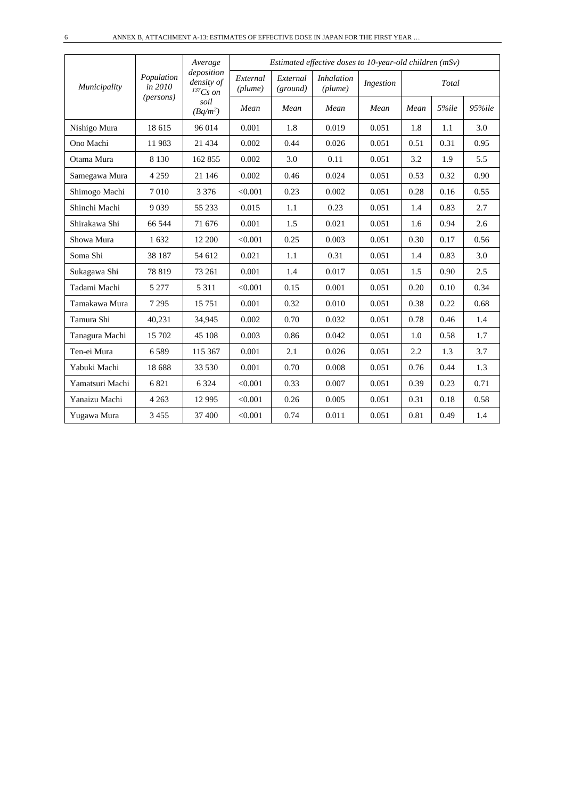|                 |                       | Average                                   |                     |                      | Estimated effective doses to 10-year-old children (mSv) |           |      |       |        |
|-----------------|-----------------------|-------------------------------------------|---------------------|----------------------|---------------------------------------------------------|-----------|------|-------|--------|
| Municipality    | Population<br>in 2010 | deposition<br>density of<br>$^{137}Cs$ on | External<br>(plume) | External<br>(ground) | <b>Inhalation</b><br>(plume)                            | Ingestion |      | Total |        |
|                 | (persons)             | soil<br>$(Bq/m^2)$                        | Mean                | Mean                 | Mean                                                    | Mean      | Mean | 5%ile | 95%ile |
| Nishigo Mura    | 18 615                | 96 014                                    | 0.001               | 1.8                  | 0.019                                                   | 0.051     | 1.8  | 1.1   | 3.0    |
| Ono Machi       | 11983                 | 21 4 34                                   | 0.002               | 0.44                 | 0.026                                                   | 0.051     | 0.51 | 0.31  | 0.95   |
| Otama Mura      | 8 1 3 0               | 162 855                                   | 0.002               | 3.0                  | 0.11                                                    | 0.051     | 3.2  | 1.9   | 5.5    |
| Samegawa Mura   | 4 2 5 9               | 21 14 6                                   | 0.002               | 0.46                 | 0.024                                                   | 0.051     | 0.53 | 0.32  | 0.90   |
| Shimogo Machi   | 7010                  | 3 3 7 6                                   | < 0.001             | 0.23                 | 0.002                                                   | 0.051     | 0.28 | 0.16  | 0.55   |
| Shinchi Machi   | 9 0 3 9               | 55 233                                    | 0.015               | 1.1                  | 0.23                                                    | 0.051     | 1.4  | 0.83  | 2.7    |
| Shirakawa Shi   | 66 544                | 71 676                                    | 0.001               | 1.5                  | 0.021                                                   | 0.051     | 1.6  | 0.94  | 2.6    |
| Showa Mura      | 1 632                 | 12 200                                    | < 0.001             | 0.25                 | 0.003                                                   | 0.051     | 0.30 | 0.17  | 0.56   |
| Soma Shi        | 38 187                | 54 612                                    | 0.021               | 1.1                  | 0.31                                                    | 0.051     | 1.4  | 0.83  | 3.0    |
| Sukagawa Shi    | 78 819                | 73 261                                    | 0.001               | 1.4                  | 0.017                                                   | 0.051     | 1.5  | 0.90  | 2.5    |
| Tadami Machi    | 5 2 7 7               | 5 3 1 1                                   | < 0.001             | 0.15                 | 0.001                                                   | 0.051     | 0.20 | 0.10  | 0.34   |
| Tamakawa Mura   | 7 2 9 5               | 15 751                                    | 0.001               | 0.32                 | 0.010                                                   | 0.051     | 0.38 | 0.22  | 0.68   |
| Tamura Shi      | 40,231                | 34,945                                    | 0.002               | 0.70                 | 0.032                                                   | 0.051     | 0.78 | 0.46  | 1.4    |
| Tanagura Machi  | 15 702                | 45 108                                    | 0.003               | 0.86                 | 0.042                                                   | 0.051     | 1.0  | 0.58  | 1.7    |
| Ten-ei Mura     | 6589                  | 115 367                                   | 0.001               | 2.1                  | 0.026                                                   | 0.051     | 2.2  | 1.3   | 3.7    |
| Yabuki Machi    | 18 688                | 33 530                                    | 0.001               | 0.70                 | 0.008                                                   | 0.051     | 0.76 | 0.44  | 1.3    |
| Yamatsuri Machi | 6821                  | 6 3 2 4                                   | < 0.001             | 0.33                 | 0.007                                                   | 0.051     | 0.39 | 0.23  | 0.71   |
| Yanaizu Machi   | 4 2 6 3               | 12 9 95                                   | < 0.001             | 0.26                 | 0.005                                                   | 0.051     | 0.31 | 0.18  | 0.58   |
| Yugawa Mura     | 3 4 5 5               | 37 400                                    | < 0.001             | 0.74                 | 0.011                                                   | 0.051     | 0.81 | 0.49  | 1.4    |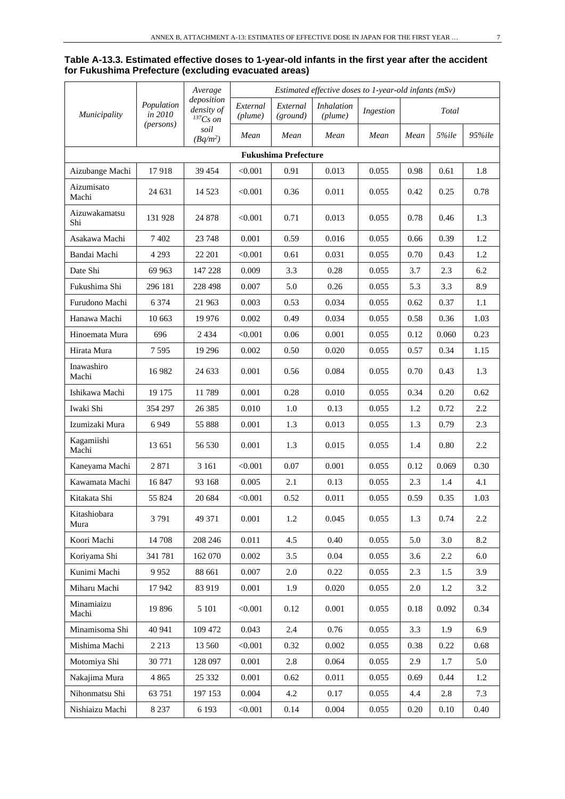| Table A-13.3. Estimated effective doses to 1-year-old infants in the first year after the accident |
|----------------------------------------------------------------------------------------------------|
| for Fukushima Prefecture (excluding evacuated areas)                                               |

|                      | Average               |                                             |                     | Estimated effective doses to 1-year-old infants $(mSv)$ |                              |           |      |          |          |
|----------------------|-----------------------|---------------------------------------------|---------------------|---------------------------------------------------------|------------------------------|-----------|------|----------|----------|
| Municipality         | Population<br>in 2010 | deposition<br>density of<br>${}^{137}Cs$ on | External<br>(plume) | External<br>(ground)                                    | <i>Inhalation</i><br>(plume) | Ingestion |      | Total    |          |
|                      | (persons)             | soil<br>$(Bq/m^2)$                          | Mean                | Mean                                                    | Mean                         | Mean      | Mean | 5%ile    | 95%ile   |
|                      |                       |                                             |                     | <b>Fukushima Prefecture</b>                             |                              |           |      |          |          |
| Aizubange Machi      | 17918                 | 39 454                                      | < 0.001             | 0.91                                                    | 0.013                        | 0.055     | 0.98 | 0.61     | 1.8      |
| Aizumisato<br>Machi  | 24 631                | 14 5 23                                     | < 0.001             | 0.36                                                    | 0.011                        | 0.055     | 0.42 | 0.25     | 0.78     |
| Aizuwakamatsu<br>Shi | 131 928               | 24 878                                      | < 0.001             | 0.71                                                    | 0.013                        | 0.055     | 0.78 | 0.46     | 1.3      |
| Asakawa Machi        | 7 4 0 2               | 23 748                                      | 0.001               | 0.59                                                    | 0.016                        | 0.055     | 0.66 | 0.39     | 1.2      |
| Bandai Machi         | 4 2 9 3               | 22 201                                      | < 0.001             | 0.61                                                    | 0.031                        | 0.055     | 0.70 | 0.43     | 1.2      |
| Date Shi             | 69 963                | 147 228                                     | 0.009               | 3.3                                                     | 0.28                         | 0.055     | 3.7  | 2.3      | 6.2      |
| Fukushima Shi        | 296 181               | 228 498                                     | 0.007               | 5.0                                                     | 0.26                         | 0.055     | 5.3  | 3.3      | 8.9      |
| Furudono Machi       | 6 3 7 4               | 21 963                                      | 0.003               | 0.53                                                    | 0.034                        | 0.055     | 0.62 | 0.37     | 1.1      |
| Hanawa Machi         | 10 663                | 19 976                                      | 0.002               | 0.49                                                    | 0.034                        | 0.055     | 0.58 | 0.36     | 1.03     |
| Hinoemata Mura       | 696                   | 2434                                        | < 0.001             | 0.06                                                    | 0.001                        | 0.055     | 0.12 | 0.060    | 0.23     |
| Hirata Mura          | 7 5 9 5               | 19 29 6                                     | 0.002               | 0.50                                                    | 0.020                        | 0.055     | 0.57 | 0.34     | 1.15     |
| Inawashiro<br>Machi  | 16 982                | 24 633                                      | 0.001               | 0.56                                                    | 0.084                        | 0.055     | 0.70 | 0.43     | 1.3      |
| Ishikawa Machi       | 19 17 5               | 11789                                       | 0.001               | 0.28                                                    | 0.010                        | 0.055     | 0.34 | 0.20     | 0.62     |
| Iwaki Shi            | 354 297               | 26 3 8 5                                    | 0.010               | 1.0                                                     | 0.13                         | 0.055     | 1.2  | 0.72     | 2.2      |
| Izumizaki Mura       | 6949                  | 55 888                                      | 0.001               | 1.3                                                     | 0.013                        | 0.055     | 1.3  | 0.79     | 2.3      |
| Kagamiishi<br>Machi  | 13 651                | 56 530                                      | 0.001               | 1.3                                                     | 0.015                        | 0.055     | 1.4  | $0.80\,$ | 2.2      |
| Kaneyama Machi       | 2871                  | 3 1 6 1                                     | < 0.001             | 0.07                                                    | 0.001                        | 0.055     | 0.12 | 0.069    | 0.30     |
| Kawamata Machi       | 16 847                | 93 168                                      | 0.005               | 2.1                                                     | 0.13                         | 0.055     | 2.3  | 1.4      | 4.1      |
| Kitakata Shi         | 55 824                | 20 684                                      | < 0.001             | 0.52                                                    | 0.011                        | 0.055     | 0.59 | 0.35     | 1.03     |
| Kitashiobara<br>Mura | 3791                  | 49 371                                      | 0.001               | 1.2                                                     | 0.045                        | 0.055     | 1.3  | 0.74     | $2.2\,$  |
| Koori Machi          | 14 708                | 208 246                                     | 0.011               | 4.5                                                     | 0.40                         | 0.055     | 5.0  | 3.0      | 8.2      |
| Koriyama Shi         | 341 781               | 162 070                                     | 0.002               | 3.5                                                     | 0.04                         | 0.055     | 3.6  | 2.2      | 6.0      |
| Kunimi Machi         | 9952                  | 88 661                                      | 0.007               | 2.0                                                     | 0.22                         | 0.055     | 2.3  | 1.5      | 3.9      |
| Miharu Machi         | 17942                 | 83 919                                      | 0.001               | 1.9                                                     | 0.020                        | 0.055     | 2.0  | 1.2      | 3.2      |
| Minamiaizu<br>Machi  | 19896                 | 5 1 0 1                                     | < 0.001             | 0.12                                                    | 0.001                        | 0.055     | 0.18 | 0.092    | 0.34     |
| Minamisoma Shi       | 40 941                | 109 472                                     | 0.043               | 2.4                                                     | 0.76                         | 0.055     | 3.3  | 1.9      | 6.9      |
| Mishima Machi        | 2 2 1 3               | 13 560                                      | < 0.001             | 0.32                                                    | 0.002                        | 0.055     | 0.38 | 0.22     | 0.68     |
| Motomiya Shi         | 30 771                | 128 097                                     | 0.001               | 2.8                                                     | 0.064                        | 0.055     | 2.9  | 1.7      | 5.0      |
| Nakajima Mura        | 4 8 6 5               | 25 332                                      | 0.001               | 0.62                                                    | 0.011                        | 0.055     | 0.69 | 0.44     | 1.2      |
| Nihonmatsu Shi       | 63 751                | 197 153                                     | 0.004               | 4.2                                                     | 0.17                         | 0.055     | 4.4  | $2.8\,$  | 7.3      |
| Nishiaizu Machi      | 8 2 3 7               | 6 1 9 3                                     | < 0.001             | 0.14                                                    | 0.004                        | 0.055     | 0.20 | 0.10     | $0.40\,$ |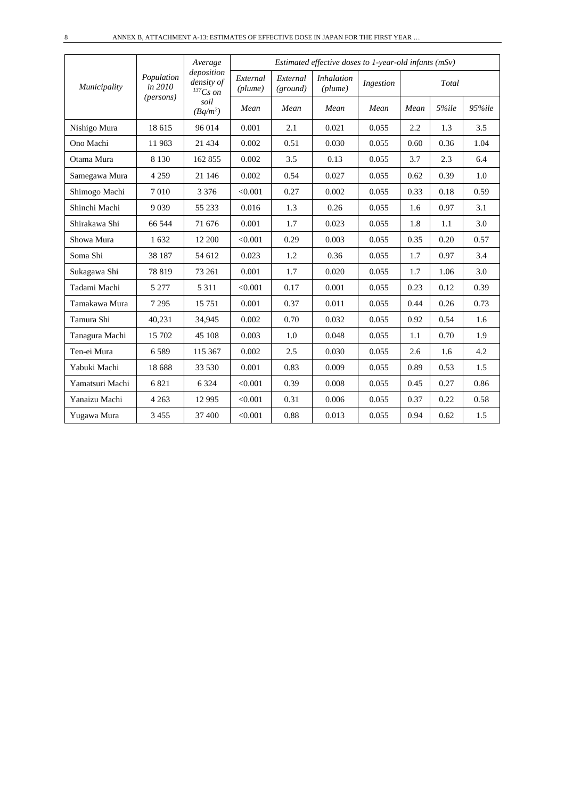|                 |                       | Average                                     | Estimated effective doses to 1-year-old infants (mSv) |                      |                              |           |      |       |        |  |  |
|-----------------|-----------------------|---------------------------------------------|-------------------------------------------------------|----------------------|------------------------------|-----------|------|-------|--------|--|--|
| Municipality    | Population<br>in 2010 | deposition<br>density of<br>${}^{137}Cs$ on | External<br>$(\textit{plume})$                        | External<br>(ground) | <i>Inhalation</i><br>(plume) | Ingestion |      | Total |        |  |  |
|                 | (persons)             | soil<br>$(Bq/m^2)$                          | Mean                                                  | Mean                 | Mean                         | Mean      | Mean | 5%ile | 95%ile |  |  |
| Nishigo Mura    | 18 615                | 96 014                                      | 0.001                                                 | 2.1                  | 0.021                        | 0.055     | 2.2  | 1.3   | 3.5    |  |  |
| Ono Machi       | 11983                 | 21 4 34                                     | 0.002                                                 | 0.51                 | 0.030                        | 0.055     | 0.60 | 0.36  | 1.04   |  |  |
| Otama Mura      | 8 1 3 0               | 162 855                                     | 0.002                                                 | 3.5                  | 0.13                         | 0.055     | 3.7  | 2.3   | 6.4    |  |  |
| Samegawa Mura   | 4 2 5 9               | 21 14 6                                     | 0.002                                                 | 0.54                 | 0.027                        | 0.055     | 0.62 | 0.39  | 1.0    |  |  |
| Shimogo Machi   | 7010                  | 3 3 7 6                                     | < 0.001                                               | 0.27                 | 0.002                        | 0.055     | 0.33 | 0.18  | 0.59   |  |  |
| Shinchi Machi   | 9 0 3 9               | 55 233                                      | 0.016                                                 | 1.3                  | 0.26                         | 0.055     | 1.6  | 0.97  | 3.1    |  |  |
| Shirakawa Shi   | 66 544                | 71 676                                      | 0.001                                                 | 1.7                  | 0.023                        | 0.055     | 1.8  | 1.1   | 3.0    |  |  |
| Showa Mura      | 1 632                 | 12 200                                      | < 0.001                                               | 0.29                 | 0.003                        | 0.055     | 0.35 | 0.20  | 0.57   |  |  |
| Soma Shi        | 38 187                | 54 612                                      | 0.023                                                 | 1.2                  | 0.36                         | 0.055     | 1.7  | 0.97  | 3.4    |  |  |
| Sukagawa Shi    | 78 819                | 73 261                                      | 0.001                                                 | 1.7                  | 0.020                        | 0.055     | 1.7  | 1.06  | 3.0    |  |  |
| Tadami Machi    | 5 2 7 7               | 5 3 1 1                                     | < 0.001                                               | 0.17                 | 0.001                        | 0.055     | 0.23 | 0.12  | 0.39   |  |  |
| Tamakawa Mura   | 7 2 9 5               | 15 751                                      | 0.001                                                 | 0.37                 | 0.011                        | 0.055     | 0.44 | 0.26  | 0.73   |  |  |
| Tamura Shi      | 40,231                | 34,945                                      | 0.002                                                 | 0.70                 | 0.032                        | 0.055     | 0.92 | 0.54  | 1.6    |  |  |
| Tanagura Machi  | 15 702                | 45 108                                      | 0.003                                                 | 1.0                  | 0.048                        | 0.055     | 1.1  | 0.70  | 1.9    |  |  |
| Ten-ei Mura     | 6589                  | 115 367                                     | 0.002                                                 | 2.5                  | 0.030                        | 0.055     | 2.6  | 1.6   | 4.2    |  |  |
| Yabuki Machi    | 18 688                | 33 530                                      | 0.001                                                 | 0.83                 | 0.009                        | 0.055     | 0.89 | 0.53  | 1.5    |  |  |
| Yamatsuri Machi | 6 8 21                | 6 3 2 4                                     | < 0.001                                               | 0.39                 | 0.008                        | 0.055     | 0.45 | 0.27  | 0.86   |  |  |
| Yanaizu Machi   | 4 2 6 3               | 12 9 95                                     | < 0.001                                               | 0.31                 | 0.006                        | 0.055     | 0.37 | 0.22  | 0.58   |  |  |
| Yugawa Mura     | 3 4 5 5               | 37 400                                      | < 0.001                                               | 0.88                 | 0.013                        | 0.055     | 0.94 | 0.62  | 1.5    |  |  |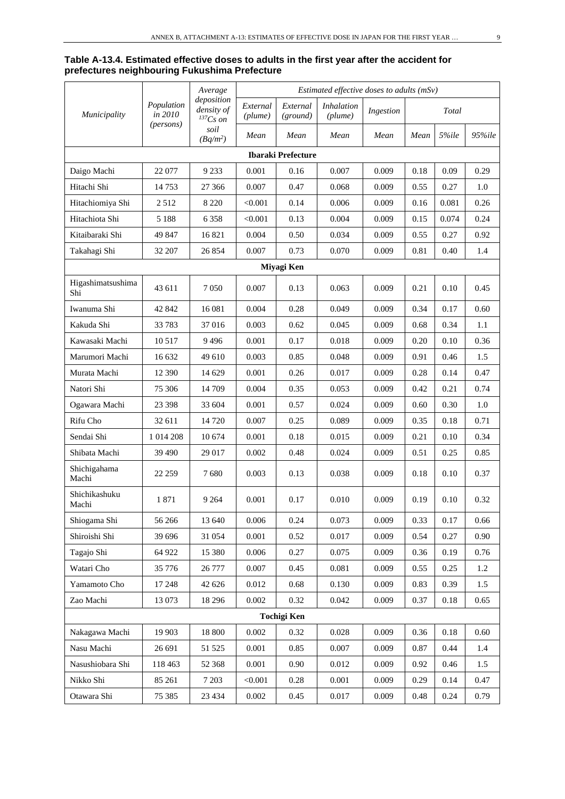#### **Table A-13.4. Estimated effective doses to adults in the first year after the accident for prefectures neighbouring Fukushima Prefecture**

|                          |                       | Average                                     |                     |                           | Estimated effective doses to adults (mSv) |           |      |       |        |
|--------------------------|-----------------------|---------------------------------------------|---------------------|---------------------------|-------------------------------------------|-----------|------|-------|--------|
| Municipality             | Population<br>in 2010 | deposition<br>density of<br>${}^{137}Cs$ on | External<br>(plume) | External<br>(ground)      | <i>Inhalation</i><br>(plume)              | Ingestion |      | Total |        |
|                          | (persons)             | soil<br>$(Bq/m^2)$                          | Mean                | Mean                      | Mean                                      | Mean      | Mean | 5%ile | 95%ile |
|                          |                       |                                             |                     | <b>Ibaraki Prefecture</b> |                                           |           |      |       |        |
| Daigo Machi              | 22 077                | 9 2 3 3                                     | 0.001               | 0.16                      | 0.007                                     | 0.009     | 0.18 | 0.09  | 0.29   |
| Hitachi Shi              | 14753                 | 27 36 6                                     | 0.007               | 0.47                      | 0.068                                     | 0.009     | 0.55 | 0.27  | 1.0    |
| Hitachiomiya Shi         | 2512                  | 8 2 2 0                                     | < 0.001             | 0.14                      | 0.006                                     | 0.009     | 0.16 | 0.081 | 0.26   |
| Hitachiota Shi           | 5 1 8 8               | 6 3 5 8                                     | < 0.001             | 0.13                      | 0.004                                     | 0.009     | 0.15 | 0.074 | 0.24   |
| Kitaibaraki Shi          | 49 847                | 16821                                       | 0.004               | 0.50                      | 0.034                                     | 0.009     | 0.55 | 0.27  | 0.92   |
| Takahagi Shi             | 32 207                | 26 854                                      | 0.007               | 0.73                      | 0.070                                     | 0.009     | 0.81 | 0.40  | 1.4    |
|                          |                       |                                             |                     | Miyagi Ken                |                                           |           |      |       |        |
| Higashimatsushima<br>Shi | 43 611                | 7 0 5 0                                     | 0.007               | 0.13                      | 0.063                                     | 0.009     | 0.21 | 0.10  | 0.45   |
| Iwanuma Shi              | 42 842                | 16 081                                      | 0.004               | 0.28                      | 0.049                                     | 0.009     | 0.34 | 0.17  | 0.60   |
| Kakuda Shi               | 33 783                | 37016                                       | 0.003               | 0.62                      | 0.045                                     | 0.009     | 0.68 | 0.34  | 1.1    |
| Kawasaki Machi           | 10517                 | 9496                                        | 0.001               | 0.17                      | 0.018                                     | 0.009     | 0.20 | 0.10  | 0.36   |
| Marumori Machi           | 16 632                | 49 610                                      | 0.003               | 0.85                      | 0.048                                     | 0.009     | 0.91 | 0.46  | 1.5    |
| Murata Machi             | 12 390                | 14 629                                      | 0.001               | 0.26                      | 0.017                                     | 0.009     | 0.28 | 0.14  | 0.47   |
| Natori Shi               | 75 30 6               | 14 709                                      | 0.004               | 0.35                      | 0.053                                     | 0.009     | 0.42 | 0.21  | 0.74   |
| Ogawara Machi            | 23 3 98               | 33 604                                      | 0.001               | 0.57                      | 0.024                                     | 0.009     | 0.60 | 0.30  | 1.0    |
| Rifu Cho                 | 32 611                | 14 720                                      | 0.007               | 0.25                      | 0.089                                     | 0.009     | 0.35 | 0.18  | 0.71   |
| Sendai Shi               | 1 0 14 2 08           | 10 674                                      | 0.001               | 0.18                      | 0.015                                     | 0.009     | 0.21 | 0.10  | 0.34   |
| Shibata Machi            | 39 490                | 29 017                                      | 0.002               | 0.48                      | 0.024                                     | 0.009     | 0.51 | 0.25  | 0.85   |
| Shichigahama<br>Machi    | 22 25 9               | 7680                                        | 0.003               | 0.13                      | 0.038                                     | 0.009     | 0.18 | 0.10  | 0.37   |
| Shichikashuku<br>Machi   | 1871                  | 9 2 6 4                                     | 0.001               | 0.17                      | 0.010                                     | 0.009     | 0.19 | 0.10  | 0.32   |
| Shiogama Shi             | 56 266                | 13 640                                      | 0.006               | 0.24                      | 0.073                                     | 0.009     | 0.33 | 0.17  | 0.66   |
| Shiroishi Shi            | 39 696                | 31 054                                      | 0.001               | 0.52                      | 0.017                                     | 0.009     | 0.54 | 0.27  | 0.90   |
| Tagajo Shi               | 64 922                | 15 380                                      | 0.006               | 0.27                      | 0.075                                     | 0.009     | 0.36 | 0.19  | 0.76   |
| Watari Cho               | 35 776                | 26 777                                      | 0.007               | 0.45                      | 0.081                                     | 0.009     | 0.55 | 0.25  | 1.2    |
| Yamamoto Cho             | 17 248                | 42 626                                      | 0.012               | 0.68                      | 0.130                                     | 0.009     | 0.83 | 0.39  | 1.5    |
| Zao Machi                | 13 073                | 18 29 6                                     | 0.002               | 0.32                      | 0.042                                     | 0.009     | 0.37 | 0.18  | 0.65   |
|                          |                       |                                             |                     | <b>Tochigi Ken</b>        |                                           |           |      |       |        |
| Nakagawa Machi           | 19 903                | 18 800                                      | 0.002               | 0.32                      | 0.028                                     | 0.009     | 0.36 | 0.18  | 0.60   |
| Nasu Machi               | 26 691                | 51 525                                      | 0.001               | 0.85                      | 0.007                                     | 0.009     | 0.87 | 0.44  | 1.4    |
| Nasushiobara Shi         | 118 463               | 52 368                                      | 0.001               | 0.90                      | 0.012                                     | 0.009     | 0.92 | 0.46  | 1.5    |
| Nikko Shi                | 85 261                | 7 2 0 3                                     | < 0.001             | 0.28                      | 0.001                                     | 0.009     | 0.29 | 0.14  | 0.47   |
| Otawara Shi              | 75 385                | 23 4 34                                     | 0.002               | 0.45                      | 0.017                                     | 0.009     | 0.48 | 0.24  | 0.79   |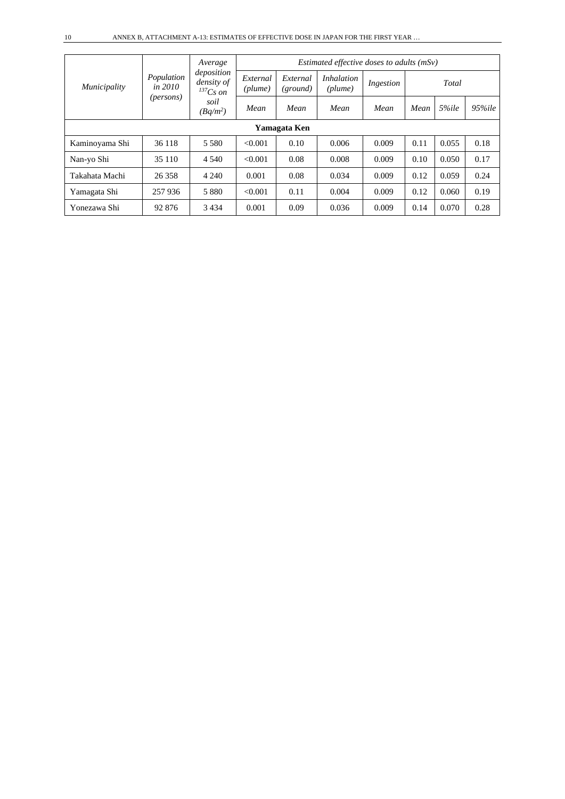|                |                                      | Average                                   | Estimated effective doses to adults $(mSv)$ |                      |                              |           |      |       |            |  |
|----------------|--------------------------------------|-------------------------------------------|---------------------------------------------|----------------------|------------------------------|-----------|------|-------|------------|--|
| Municipality   | Population<br>in $2010$<br>(persons) | deposition<br>density of<br>$^{137}Cs$ on | External<br>(plume)                         | External<br>(ground) | <i>Inhalation</i><br>(plume) | Ingestion |      | Total |            |  |
|                |                                      | soil<br>$(Bq/m^2)$                        | Mean                                        | Mean                 | Mean                         | Mean      | Mean | 5%ile | $95\%$ ile |  |
|                |                                      |                                           |                                             | Yamagata Ken         |                              |           |      |       |            |  |
| Kaminoyama Shi | 36 118                               | 5 5 8 0                                   | < 0.001                                     | 0.10                 | 0.006                        | 0.009     | 0.11 | 0.055 | 0.18       |  |
| Nan-yo Shi     | 35 110                               | 4 5 4 0                                   | < 0.001                                     | 0.08                 | 0.008                        | 0.009     | 0.10 | 0.050 | 0.17       |  |
| Takahata Machi | 26 35 8                              | 4 2 4 0                                   | 0.001                                       | 0.08                 | 0.034                        | 0.009     | 0.12 | 0.059 | 0.24       |  |
| Yamagata Shi   | 257 936                              | 5880                                      | < 0.001                                     | 0.11                 | 0.004                        | 0.009     | 0.12 | 0.060 | 0.19       |  |
| Yonezawa Shi   | 92 876                               | 3 4 3 4                                   | 0.001                                       | 0.09                 | 0.036                        | 0.009     | 0.14 | 0.070 | 0.28       |  |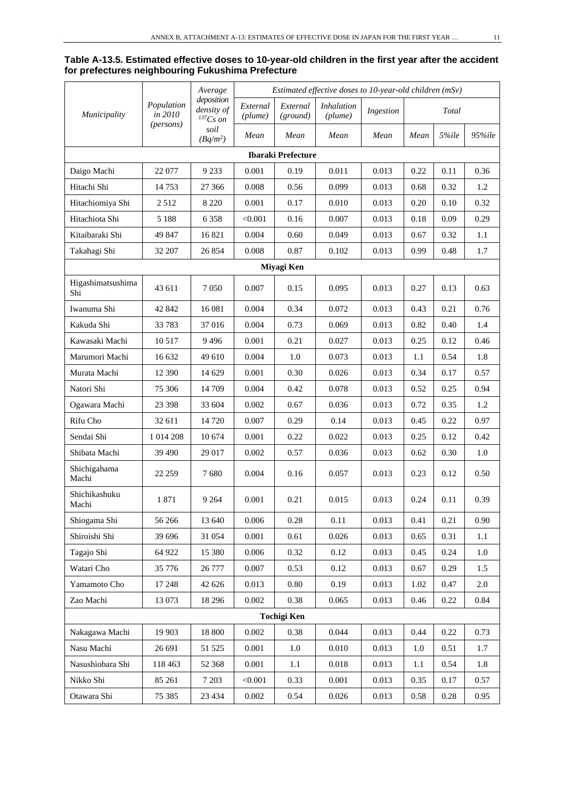#### **Table A-13.5. Estimated effective doses to 10-year-old children in the first year after the accident for prefectures neighbouring Fukushima Prefecture**

|                          |                       | Average                                   |                     |                           | Estimated effective doses to 10-year-old children (mSv) |           |      |       |         |
|--------------------------|-----------------------|-------------------------------------------|---------------------|---------------------------|---------------------------------------------------------|-----------|------|-------|---------|
| <i>Municipality</i>      | Population<br>in 2010 | deposition<br>density of<br>$^{137}Cs$ on | External<br>(plume) | External<br>(ground)      | <i>Inhalation</i><br>(plume)                            | Ingestion |      | Total |         |
|                          | (persons)             | soil<br>$(Bq/m^2)$                        | Mean                | Mean                      | Mean                                                    | Mean      | Mean | 5%ile | 95%ile  |
|                          |                       |                                           |                     | <b>Ibaraki Prefecture</b> |                                                         |           |      |       |         |
| Daigo Machi              | 22 077                | 9 2 3 3                                   | 0.001               | 0.19                      | 0.011                                                   | 0.013     | 0.22 | 0.11  | 0.36    |
| Hitachi Shi              | 14753                 | 27 366                                    | 0.008               | 0.56                      | 0.099                                                   | 0.013     | 0.68 | 0.32  | 1.2     |
| Hitachiomiya Shi         | 2512                  | 8 2 2 0                                   | 0.001               | 0.17                      | 0.010                                                   | 0.013     | 0.20 | 0.10  | 0.32    |
| Hitachiota Shi           | 5 1 8 8               | 6 3 5 8                                   | < 0.001             | 0.16                      | 0.007                                                   | 0.013     | 0.18 | 0.09  | 0.29    |
| Kitaibaraki Shi          | 49 847                | 16 821                                    | 0.004               | 0.60                      | 0.049                                                   | 0.013     | 0.67 | 0.32  | 1.1     |
| Takahagi Shi             | 32 207                | 26 854                                    | 0.008               | 0.87                      | 0.102                                                   | 0.013     | 0.99 | 0.48  | 1.7     |
|                          |                       |                                           |                     | Miyagi Ken                |                                                         |           |      |       |         |
| Higashimatsushima<br>Shi | 43 611                | 7050                                      | 0.007               | 0.15                      | 0.095                                                   | 0.013     | 0.27 | 0.13  | 0.63    |
| Iwanuma Shi              | 42 842                | 16 081                                    | 0.004               | 0.34                      | 0.072                                                   | 0.013     | 0.43 | 0.21  | 0.76    |
| Kakuda Shi               | 33 783                | 37016                                     | 0.004               | 0.73                      | 0.069                                                   | 0.013     | 0.82 | 0.40  | 1.4     |
| Kawasaki Machi           | 10 5 17               | 9496                                      | 0.001               | 0.21                      | 0.027                                                   | 0.013     | 0.25 | 0.12  | 0.46    |
| Marumori Machi           | 16 632                | 49 610                                    | 0.004               | 1.0                       | 0.073                                                   | 0.013     | 1.1  | 0.54  | 1.8     |
| Murata Machi             | 12 390                | 14 629                                    | 0.001               | 0.30                      | 0.026                                                   | 0.013     | 0.34 | 0.17  | 0.57    |
| Natori Shi               | 75 306                | 14 709                                    | 0.004               | 0.42                      | 0.078                                                   | 0.013     | 0.52 | 0.25  | 0.94    |
| Ogawara Machi            | 23 3 98               | 33 604                                    | 0.002               | 0.67                      | 0.036                                                   | 0.013     | 0.72 | 0.35  | 1.2     |
| Rifu Cho                 | 32 611                | 14 720                                    | 0.007               | 0.29                      | 0.14                                                    | 0.013     | 0.45 | 0.22  | 0.97    |
| Sendai Shi               | 1 0 14 2 08           | 10 674                                    | 0.001               | 0.22                      | 0.022                                                   | 0.013     | 0.25 | 0.12  | 0.42    |
| Shibata Machi            | 39 490                | 29 017                                    | 0.002               | 0.57                      | 0.036                                                   | 0.013     | 0.62 | 0.30  | 1.0     |
| Shichigahama<br>Machi    | 22 259                | 7680                                      | 0.004               | 0.16                      | 0.057                                                   | 0.013     | 0.23 | 0.12  | 0.50    |
| Shichikashuku<br>Machi   | 1871                  | 9 2 6 4                                   | 0.001               | 0.21                      | 0.015                                                   | 0.013     | 0.24 | 0.11  | 0.39    |
| Shiogama Shi             | 56 266                | 13 640                                    | 0.006               | 0.28                      | 0.11                                                    | 0.013     | 0.41 | 0.21  | 0.90    |
| Shiroishi Shi            | 39 696                | 31 054                                    | 0.001               | 0.61                      | 0.026                                                   | 0.013     | 0.65 | 0.31  | 1.1     |
| Tagajo Shi               | 64 922                | 15 380                                    | 0.006               | 0.32                      | 0.12                                                    | 0.013     | 0.45 | 0.24  | $1.0\,$ |
| Watari Cho               | 35 776                | 26 777                                    | 0.007               | 0.53                      | 0.12                                                    | 0.013     | 0.67 | 0.29  | 1.5     |
| Yamamoto Cho             | 17 248                | 42 626                                    | 0.013               | $0.80\,$                  | 0.19                                                    | 0.013     | 1.02 | 0.47  | 2.0     |
| Zao Machi                | 13 073                | 18 29 6                                   | 0.002               | 0.38                      | 0.065                                                   | 0.013     | 0.46 | 0.22  | 0.84    |
|                          |                       |                                           |                     | <b>Tochigi Ken</b>        |                                                         |           |      |       |         |
| Nakagawa Machi           | 19 903                | 18 800                                    | 0.002               | 0.38                      | 0.044                                                   | 0.013     | 0.44 | 0.22  | 0.73    |
| Nasu Machi               | 26 691                | 51 525                                    | 0.001               | $1.0\,$                   | 0.010                                                   | 0.013     | 1.0  | 0.51  | 1.7     |
| Nasushiobara Shi         | 118 463               | 52 368                                    | 0.001               | 1.1                       | 0.018                                                   | 0.013     | 1.1  | 0.54  | 1.8     |
| Nikko Shi                | 85 261                | 7 2 0 3                                   | < 0.001             | 0.33                      | 0.001                                                   | 0.013     | 0.35 | 0.17  | 0.57    |
| Otawara Shi              | 75 385                | 23 4 34                                   | 0.002               | 0.54                      | 0.026                                                   | 0.013     | 0.58 | 0.28  | 0.95    |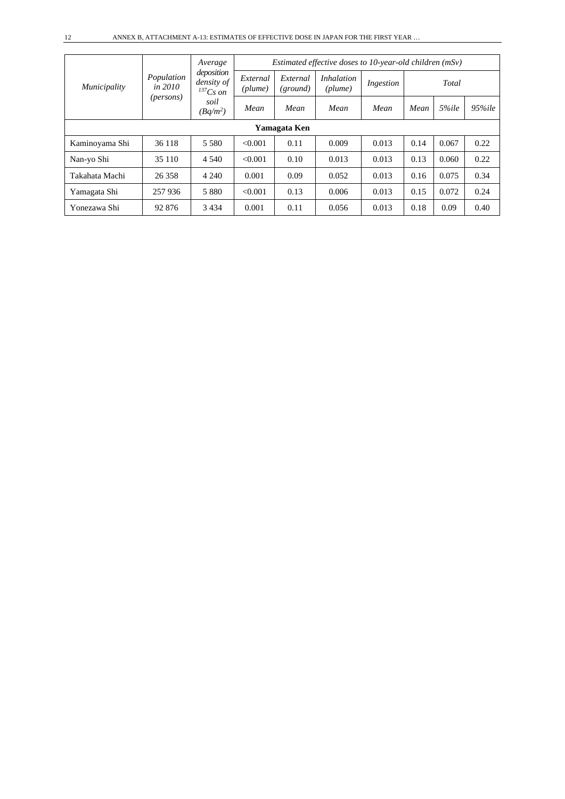|                |                              | Average                                   |                     | Estimated effective doses to 10-year-old children (mSv) |                              |           |      |       |            |  |
|----------------|------------------------------|-------------------------------------------|---------------------|---------------------------------------------------------|------------------------------|-----------|------|-------|------------|--|
| Municipality   | Population<br><i>in 2010</i> | deposition<br>density of<br>$^{137}Cs$ on | External<br>(plume) | External<br>(ground)                                    | <i>Inhalation</i><br>(plume) | Ingestion |      | Total |            |  |
|                | (persons)                    | soil<br>$(Bq/m^2)$                        | Mean                | Mean                                                    | Mean                         | Mean      | Mean | 5%ile | $95\%$ ile |  |
|                |                              |                                           |                     | Yamagata Ken                                            |                              |           |      |       |            |  |
| Kaminoyama Shi | 36 118                       | 5 5 8 0                                   | < 0.001             | 0.11                                                    | 0.009                        | 0.013     | 0.14 | 0.067 | 0.22       |  |
| Nan-yo Shi     | 35 110                       | 4 5 4 0                                   | < 0.001             | 0.10                                                    | 0.013                        | 0.013     | 0.13 | 0.060 | 0.22       |  |
| Takahata Machi | 26 358                       | 4 2 4 0                                   | 0.001               | 0.09                                                    | 0.052                        | 0.013     | 0.16 | 0.075 | 0.34       |  |
| Yamagata Shi   | 257 936                      | 5 8 8 0                                   | < 0.001             | 0.13                                                    | 0.006                        | 0.013     | 0.15 | 0.072 | 0.24       |  |
| Yonezawa Shi   | 92 876                       | 3434                                      | 0.001               | 0.11                                                    | 0.056                        | 0.013     | 0.18 | 0.09  | 0.40       |  |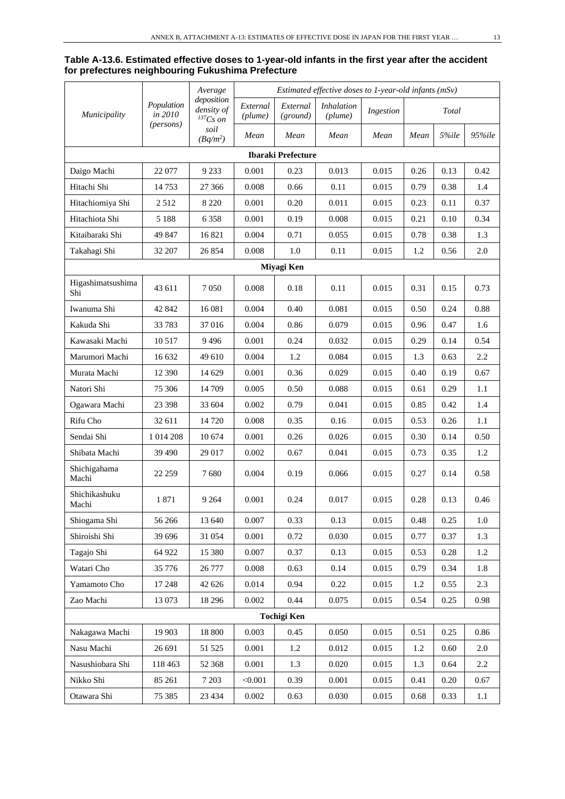#### **Table A-13.6. Estimated effective doses to 1-year-old infants in the first year after the accident for prefectures neighbouring Fukushima Prefecture**

|                           | Average               | Estimated effective doses to 1-year-old infants $(mSv)$ |                     |                      |                              |           |      |          |        |
|---------------------------|-----------------------|---------------------------------------------------------|---------------------|----------------------|------------------------------|-----------|------|----------|--------|
| Municipality              | Population<br>in 2010 | deposition<br>density of<br>${}^{137}Cs$ on             | External<br>(plume) | External<br>(ground) | <i>Inhalation</i><br>(plume) | Ingestion |      | Total    |        |
|                           | (persons)             | soil<br>$(Bq/m^2)$                                      | Mean                | Mean                 | Mean                         | Mean      | Mean | 5%ile    | 95%ile |
| <b>Ibaraki Prefecture</b> |                       |                                                         |                     |                      |                              |           |      |          |        |
| Daigo Machi               | 22 077                | 9 2 3 3                                                 | 0.001               | 0.23                 | 0.013                        | 0.015     | 0.26 | 0.13     | 0.42   |
| Hitachi Shi               | 14753                 | 27 366                                                  | 0.008               | 0.66                 | 0.11                         | 0.015     | 0.79 | 0.38     | 1.4    |
| Hitachiomiya Shi          | 2512                  | 8 2 2 0                                                 | 0.001               | 0.20                 | 0.011                        | 0.015     | 0.23 | 0.11     | 0.37   |
| Hitachiota Shi            | 5 1 8 8               | 6 3 5 8                                                 | 0.001               | 0.19                 | 0.008                        | 0.015     | 0.21 | 0.10     | 0.34   |
| Kitaibaraki Shi           | 49 847                | 16821                                                   | 0.004               | 0.71                 | 0.055                        | 0.015     | 0.78 | 0.38     | 1.3    |
| Takahagi Shi              | 32 207                | 26 854                                                  | 0.008               | 1.0                  | 0.11                         | 0.015     | 1.2  | 0.56     | 2.0    |
|                           |                       |                                                         |                     | Miyagi Ken           |                              |           |      |          |        |
| Higashimatsushima<br>Shi  | 43 611                | 7 0 5 0                                                 | 0.008               | 0.18                 | 0.11                         | 0.015     | 0.31 | 0.15     | 0.73   |
| Iwanuma Shi               | 42 842                | 16 081                                                  | 0.004               | 0.40                 | 0.081                        | 0.015     | 0.50 | 0.24     | 0.88   |
| Kakuda Shi                | 33 783                | 37016                                                   | 0.004               | 0.86                 | 0.079                        | 0.015     | 0.96 | 0.47     | 1.6    |
| Kawasaki Machi            | 10 5 17               | 9496                                                    | 0.001               | 0.24                 | 0.032                        | 0.015     | 0.29 | 0.14     | 0.54   |
| Marumori Machi            | 16 632                | 49 610                                                  | 0.004               | 1.2                  | 0.084                        | 0.015     | 1.3  | 0.63     | 2.2    |
| Murata Machi              | 12 390                | 14 629                                                  | 0.001               | 0.36                 | 0.029                        | 0.015     | 0.40 | 0.19     | 0.67   |
| Natori Shi                | 75 30 6               | 14 709                                                  | 0.005               | 0.50                 | 0.088                        | 0.015     | 0.61 | 0.29     | 1.1    |
| Ogawara Machi             | 23 3 98               | 33 604                                                  | 0.002               | 0.79                 | 0.041                        | 0.015     | 0.85 | 0.42     | 1.4    |
| Rifu Cho                  | 32 611                | 14 720                                                  | 0.008               | 0.35                 | 0.16                         | 0.015     | 0.53 | 0.26     | 1.1    |
| Sendai Shi                | 1 014 208             | 10 674                                                  | 0.001               | 0.26                 | 0.026                        | 0.015     | 0.30 | 0.14     | 0.50   |
| Shibata Machi             | 39 490                | 29 017                                                  | 0.002               | 0.67                 | 0.041                        | 0.015     | 0.73 | 0.35     | 1.2    |
| Shichigahama<br>Machi     | 22 259                | 7680                                                    | 0.004               | 0.19                 | 0.066                        | 0.015     | 0.27 | 0.14     | 0.58   |
| Shichikashuku<br>Machi    | 1871                  | 9 2 6 4                                                 | 0.001               | 0.24                 | 0.017                        | 0.015     | 0.28 | 0.13     | 0.46   |
| Shiogama Shi              | 56 266                | 13 640                                                  | 0.007               | 0.33                 | 0.13                         | 0.015     | 0.48 | 0.25     | 1.0    |
| Shiroishi Shi             | 39 696                | 31 054                                                  | 0.001               | 0.72                 | 0.030                        | 0.015     | 0.77 | 0.37     | 1.3    |
| Tagajo Shi                | 64 922                | 15 380                                                  | 0.007               | 0.37                 | 0.13                         | 0.015     | 0.53 | $0.28\,$ | 1.2    |
| Watari Cho                | 35 776                | 26 777                                                  | 0.008               | 0.63                 | 0.14                         | 0.015     | 0.79 | 0.34     | 1.8    |
| Yamamoto Cho              | 17 248                | 42 626                                                  | 0.014               | 0.94                 | 0.22                         | 0.015     | 1.2  | 0.55     | 2.3    |
| Zao Machi                 | 13 073                | 18 29 6                                                 | 0.002               | 0.44                 | 0.075                        | 0.015     | 0.54 | 0.25     | 0.98   |
|                           |                       |                                                         |                     | <b>Tochigi Ken</b>   |                              |           |      |          |        |
| Nakagawa Machi            | 19 903                | 18 800                                                  | 0.003               | 0.45                 | 0.050                        | 0.015     | 0.51 | 0.25     | 0.86   |
| Nasu Machi                | 26 691                | 51 525                                                  | 0.001               | 1.2                  | 0.012                        | 0.015     | 1.2  | 0.60     | 2.0    |
| Nasushiobara Shi          | 118 463               | 52 368                                                  | 0.001               | 1.3                  | 0.020                        | 0.015     | 1.3  | 0.64     | 2.2    |
| Nikko Shi                 | 85 261                | 7 2 0 3                                                 | < 0.001             | 0.39                 | 0.001                        | 0.015     | 0.41 | 0.20     | 0.67   |
| Otawara Shi               | 75 385                | 23 4 34                                                 | 0.002               | 0.63                 | 0.030                        | 0.015     | 0.68 | 0.33     | 1.1    |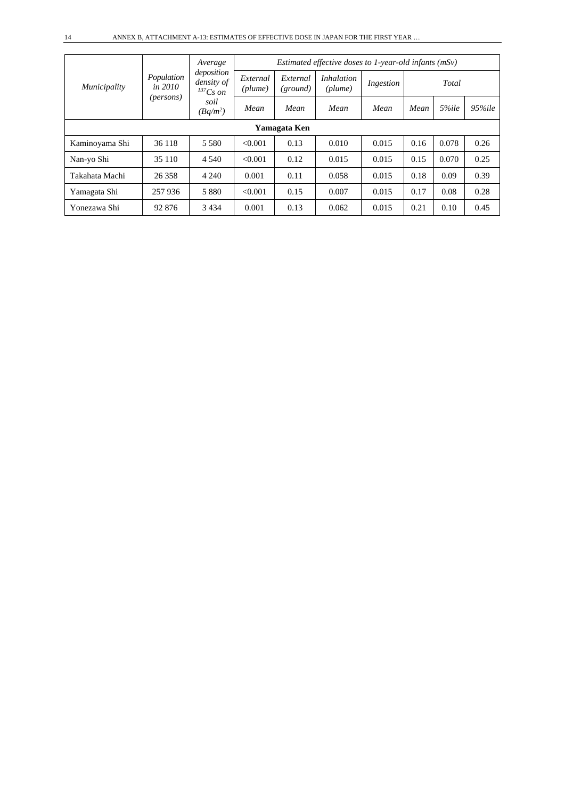| Municipality   |                                      | Average<br>deposition<br>density of<br>$^{137}Cs$ on<br>soil<br>$(Bq/m^2)$ | <i>Estimated effective doses to 1-year-old infants <math>(mSv)</math></i>                         |      |       |       |      |       |        |  |
|----------------|--------------------------------------|----------------------------------------------------------------------------|---------------------------------------------------------------------------------------------------|------|-------|-------|------|-------|--------|--|
|                | Population<br>in $2010$<br>(persons) |                                                                            | External<br><i>Inhalation</i><br>External<br>Total<br>Ingestion<br>(plume)<br>(plume)<br>(ground) |      |       |       |      |       |        |  |
|                |                                      |                                                                            | Mean                                                                                              | Mean | Mean  | Mean  | Mean | 5%ile | 95%ile |  |
| Yamagata Ken   |                                      |                                                                            |                                                                                                   |      |       |       |      |       |        |  |
| Kaminoyama Shi | 36 118                               | 5 5 8 0                                                                    | < 0.001                                                                                           | 0.13 | 0.010 | 0.015 | 0.16 | 0.078 | 0.26   |  |
| Nan-yo Shi     | 35 110                               | 4 5 4 0                                                                    | < 0.001                                                                                           | 0.12 | 0.015 | 0.015 | 0.15 | 0.070 | 0.25   |  |
| Takahata Machi | 26 358                               | 4 2 4 0                                                                    | 0.001                                                                                             | 0.11 | 0.058 | 0.015 | 0.18 | 0.09  | 0.39   |  |
| Yamagata Shi   | 257 936                              | 5 8 8 0                                                                    | < 0.001                                                                                           | 0.15 | 0.007 | 0.015 | 0.17 | 0.08  | 0.28   |  |
| Yonezawa Shi   | 92 876                               | 3 4 3 4                                                                    | 0.001                                                                                             | 0.13 | 0.062 | 0.015 | 0.21 | 0.10  | 0.45   |  |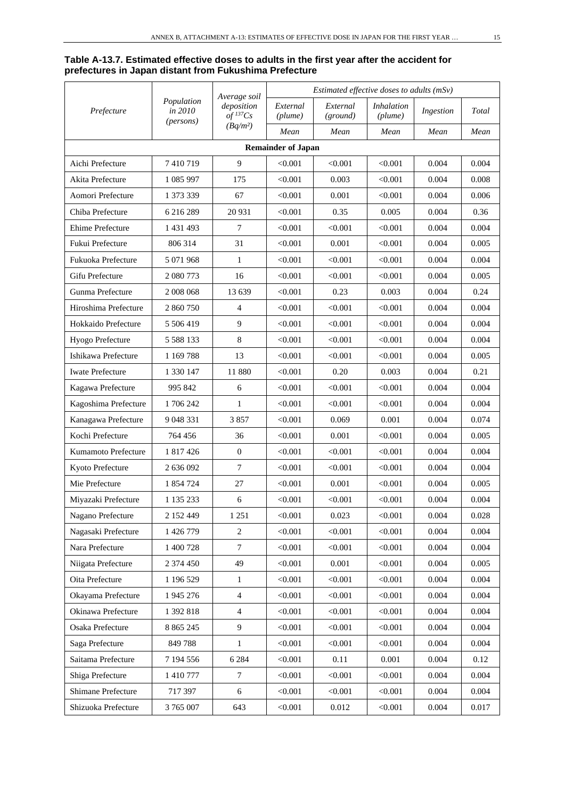#### **Table A-13.7. Estimated effective doses to adults in the first year after the accident for prefectures in Japan distant from Fukushima Prefecture**

|                         |                                             | Average soil                         | Estimated effective doses to adults $(mSv)$ |                      |                              |           |       |  |  |
|-------------------------|---------------------------------------------|--------------------------------------|---------------------------------------------|----------------------|------------------------------|-----------|-------|--|--|
| Prefecture              | Population<br>in 2010<br>( <i>persons</i> ) | deposition<br>$of$ <sup>137</sup> Cs | External<br>(plume)                         | External<br>(ground) | <i>Inhalation</i><br>(plume) | Ingestion | Total |  |  |
|                         |                                             | $(Bq/m^2)$                           | Mean                                        | Mean                 | Mean                         | Mean      | Mean  |  |  |
|                         |                                             |                                      | <b>Remainder of Japan</b>                   |                      |                              |           |       |  |  |
| Aichi Prefecture        | 7410719                                     | 9                                    | < 0.001                                     | < 0.001              | < 0.001                      | 0.004     | 0.004 |  |  |
| Akita Prefecture        | 1 085 997                                   | 175                                  | < 0.001                                     | 0.003                | < 0.001                      | 0.004     | 0.008 |  |  |
| Aomori Prefecture       | 1 373 339                                   | 67                                   | < 0.001                                     | 0.001                | < 0.001                      | 0.004     | 0.006 |  |  |
| Chiba Prefecture        | 6 216 289                                   | 20 931                               | < 0.001                                     | 0.35                 | 0.005                        | 0.004     | 0.36  |  |  |
| Ehime Prefecture        | 1 431 493                                   | 7                                    | < 0.001                                     | < 0.001              | < 0.001                      | 0.004     | 0.004 |  |  |
| Fukui Prefecture        | 806 314                                     | 31                                   | < 0.001                                     | 0.001                | < 0.001                      | 0.004     | 0.005 |  |  |
| Fukuoka Prefecture      | 5 071 968                                   | 1                                    | < 0.001                                     | < 0.001              | < 0.001                      | 0.004     | 0.004 |  |  |
| Gifu Prefecture         | 2 080 773                                   | 16                                   | < 0.001                                     | < 0.001              | < 0.001                      | 0.004     | 0.005 |  |  |
| Gunma Prefecture        | 2 008 068                                   | 13 639                               | < 0.001                                     | 0.23                 | 0.003                        | 0.004     | 0.24  |  |  |
| Hiroshima Prefecture    | 2 860 750                                   | $\overline{4}$                       | < 0.001                                     | < 0.001              | < 0.001                      | 0.004     | 0.004 |  |  |
| Hokkaido Prefecture     | 5 506 419                                   | 9                                    | < 0.001                                     | < 0.001              | < 0.001                      | 0.004     | 0.004 |  |  |
| Hyogo Prefecture        | 5 5 8 1 3 3                                 | $\,8\,$                              | < 0.001                                     | < 0.001              | < 0.001                      | 0.004     | 0.004 |  |  |
| Ishikawa Prefecture     | 1 169 788                                   | 13                                   | < 0.001                                     | < 0.001              | < 0.001                      | 0.004     | 0.005 |  |  |
| <b>Iwate Prefecture</b> | 1 330 147                                   | 11 880                               | < 0.001                                     | 0.20                 | 0.003                        | 0.004     | 0.21  |  |  |
| Kagawa Prefecture       | 995 842                                     | 6                                    | < 0.001                                     | < 0.001              | < 0.001                      | 0.004     | 0.004 |  |  |
| Kagoshima Prefecture    | 1706242                                     | $\mathbf{1}$                         | < 0.001                                     | < 0.001              | < 0.001                      | 0.004     | 0.004 |  |  |
| Kanagawa Prefecture     | 9 048 331                                   | 3857                                 | < 0.001                                     | 0.069                | 0.001                        | 0.004     | 0.074 |  |  |
| Kochi Prefecture        | 764 456                                     | 36                                   | < 0.001                                     | 0.001                | < 0.001                      | 0.004     | 0.005 |  |  |
| Kumamoto Prefecture     | 1 817 426                                   | $\mathbf{0}$                         | < 0.001                                     | < 0.001              | < 0.001                      | 0.004     | 0.004 |  |  |
| Kyoto Prefecture        | 2 636 092                                   | $\tau$                               | < 0.001                                     | < 0.001              | < 0.001                      | 0.004     | 0.004 |  |  |
| Mie Prefecture          | 1 854 724                                   | 27                                   | < 0.001                                     | 0.001                | < 0.001                      | 0.004     | 0.005 |  |  |
| Miyazaki Prefecture     | 1 135 233                                   | 6                                    | < 0.001                                     | < 0.001              | < 0.001                      | 0.004     | 0.004 |  |  |
| Nagano Prefecture       | 2 152 449                                   | 1 2 5 1                              | < 0.001                                     | 0.023                | < 0.001                      | 0.004     | 0.028 |  |  |
| Nagasaki Prefecture     | 1 426 779                                   | $\sqrt{2}$                           | < 0.001                                     | < 0.001              | < 0.001                      | 0.004     | 0.004 |  |  |
| Nara Prefecture         | 1 400 728                                   | $\tau$                               | < 0.001                                     | < 0.001              | < 0.001                      | 0.004     | 0.004 |  |  |
| Niigata Prefecture      | 2 374 450                                   | 49                                   | < 0.001                                     | 0.001                | < 0.001                      | 0.004     | 0.005 |  |  |
| Oita Prefecture         | 1 196 529                                   | 1                                    | < 0.001                                     | < 0.001              | < 0.001                      | 0.004     | 0.004 |  |  |
| Okayama Prefecture      | 1 945 276                                   | $\overline{4}$                       | < 0.001                                     | < 0.001              | < 0.001                      | 0.004     | 0.004 |  |  |
| Okinawa Prefecture      | 1 392 818                                   | $\overline{4}$                       | < 0.001                                     | < 0.001              | < 0.001                      | 0.004     | 0.004 |  |  |
| Osaka Prefecture        | 8 8 6 5 2 4 5                               | $\mathbf{9}$                         | < 0.001                                     | < 0.001              | < 0.001                      | 0.004     | 0.004 |  |  |
| Saga Prefecture         | 849788                                      | $\mathbf{1}$                         | < 0.001                                     | < 0.001              | < 0.001                      | 0.004     | 0.004 |  |  |
| Saitama Prefecture      | 7 194 556                                   | 6 2 8 4                              | < 0.001                                     | 0.11                 | 0.001                        | 0.004     | 0.12  |  |  |
| Shiga Prefecture        | 1 410 777                                   | $\tau$                               | < 0.001                                     | < 0.001              | < 0.001                      | 0.004     | 0.004 |  |  |
| Shimane Prefecture      | 717 397                                     | 6                                    | < 0.001                                     | < 0.001              | < 0.001                      | 0.004     | 0.004 |  |  |
| Shizuoka Prefecture     | 3 765 007                                   | 643                                  | < 0.001                                     | 0.012                | < 0.001                      | 0.004     | 0.017 |  |  |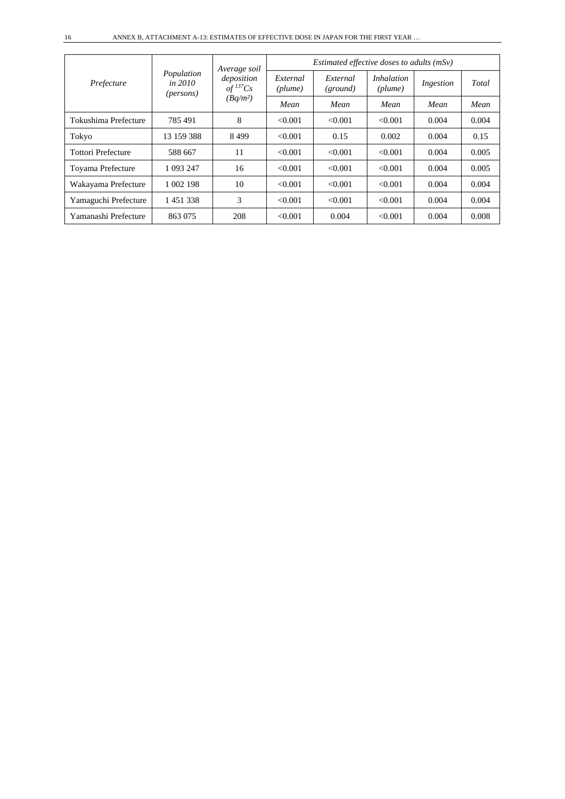| Prefecture                |                                               | Average soil<br>deposition<br>$of$ <sup>137</sup> Cs | Estimated effective doses to adults $(mSv)$ |                      |                              |           |       |  |
|---------------------------|-----------------------------------------------|------------------------------------------------------|---------------------------------------------|----------------------|------------------------------|-----------|-------|--|
|                           | Population<br>in $2010$<br>( <i>persons</i> ) |                                                      | External<br>(plume)                         | External<br>(ground) | <i>Inhalation</i><br>(plume) | Ingestion | Total |  |
|                           |                                               | $(Bq/m^2)$                                           | Mean                                        | Mean                 | Mean                         | Mean      | Mean  |  |
| Tokushima Prefecture      | 785491                                        | 8                                                    | < 0.001                                     | < 0.001              | < 0.001                      | 0.004     | 0.004 |  |
| Tokyo                     | 13 159 388                                    | 8499                                                 | < 0.001                                     | 0.15                 | 0.002                        | 0.004     | 0.15  |  |
| <b>Tottori Prefecture</b> | 588 667                                       | 11                                                   | < 0.001                                     | < 0.001              | < 0.001                      | 0.004     | 0.005 |  |
| Toyama Prefecture         | 1 093 247                                     | 16                                                   | < 0.001                                     | < 0.001              | < 0.001                      | 0.004     | 0.005 |  |
| Wakayama Prefecture       | 1 002 198                                     | 10                                                   | < 0.001                                     | < 0.001              | < 0.001                      | 0.004     | 0.004 |  |
| Yamaguchi Prefecture      | 1 451 338                                     | 3                                                    | < 0.001                                     | < 0.001              | < 0.001                      | 0.004     | 0.004 |  |
| Yamanashi Prefecture      | 863 075                                       | 208                                                  | < 0.001                                     | 0.004                | < 0.001                      | 0.004     | 0.008 |  |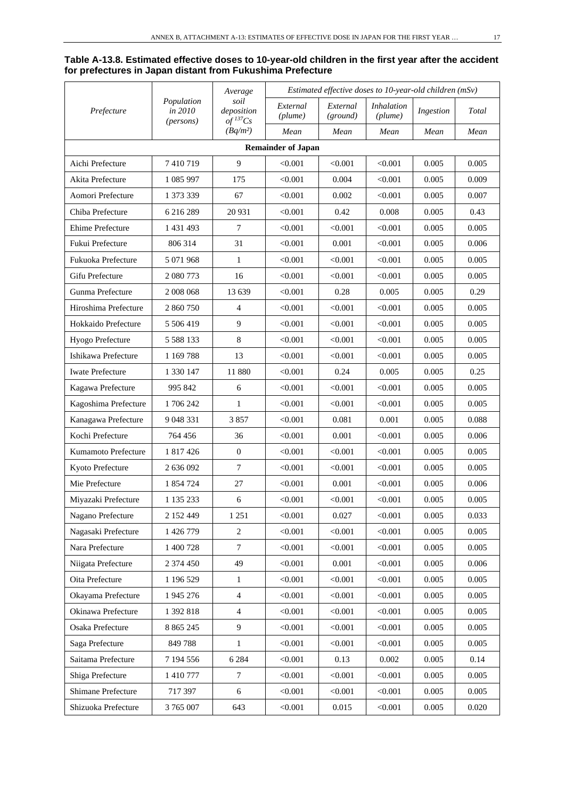### **Table A-13.8. Estimated effective doses to 10-year-old children in the first year after the accident for prefectures in Japan distant from Fukushima Prefecture**

|                           |                                             | Average                                      | Estimated effective doses to 10-year-old children (mSv) |                      |                              |           |       |  |  |  |
|---------------------------|---------------------------------------------|----------------------------------------------|---------------------------------------------------------|----------------------|------------------------------|-----------|-------|--|--|--|
| Prefecture                | Population<br>in 2010<br>( <i>persons</i> ) | soil<br>deposition<br>$of$ <sup>137</sup> Cs | External<br>(plume)                                     | External<br>(ground) | <i>Inhalation</i><br>(plume) | Ingestion | Total |  |  |  |
|                           |                                             | $(Bq/m^2)$                                   | Mean                                                    | Mean                 | Mean                         | Mean      | Mean  |  |  |  |
| <b>Remainder of Japan</b> |                                             |                                              |                                                         |                      |                              |           |       |  |  |  |
| Aichi Prefecture          | 7410719                                     | 9                                            | < 0.001                                                 | < 0.001              | < 0.001                      | 0.005     | 0.005 |  |  |  |
| Akita Prefecture          | 1 085 997                                   | 175                                          | < 0.001                                                 | 0.004                | < 0.001                      | 0.005     | 0.009 |  |  |  |
| Aomori Prefecture         | 1 373 339                                   | 67                                           | < 0.001                                                 | 0.002                | < 0.001                      | 0.005     | 0.007 |  |  |  |
| Chiba Prefecture          | 6 216 289                                   | 20 931                                       | < 0.001                                                 | 0.42                 | 0.008                        | 0.005     | 0.43  |  |  |  |
| Ehime Prefecture          | 1 431 493                                   | 7                                            | < 0.001                                                 | < 0.001              | < 0.001                      | 0.005     | 0.005 |  |  |  |
| Fukui Prefecture          | 806 314                                     | 31                                           | < 0.001                                                 | 0.001                | < 0.001                      | 0.005     | 0.006 |  |  |  |
| Fukuoka Prefecture        | 5 071 968                                   | 1                                            | < 0.001                                                 | < 0.001              | < 0.001                      | 0.005     | 0.005 |  |  |  |
| Gifu Prefecture           | 2 080 773                                   | 16                                           | < 0.001                                                 | < 0.001              | < 0.001                      | 0.005     | 0.005 |  |  |  |
| Gunma Prefecture          | 2 008 068                                   | 13 639                                       | < 0.001                                                 | 0.28                 | 0.005                        | 0.005     | 0.29  |  |  |  |
| Hiroshima Prefecture      | 2 860 750                                   | 4                                            | < 0.001                                                 | < 0.001              | < 0.001                      | 0.005     | 0.005 |  |  |  |
| Hokkaido Prefecture       | 5 506 419                                   | 9                                            | < 0.001                                                 | < 0.001              | < 0.001                      | 0.005     | 0.005 |  |  |  |
| Hyogo Prefecture          | 5 5 8 8 1 3 3                               | 8                                            | < 0.001                                                 | < 0.001              | < 0.001                      | 0.005     | 0.005 |  |  |  |
| Ishikawa Prefecture       | 1 169 788                                   | 13                                           | < 0.001                                                 | < 0.001              | < 0.001                      | 0.005     | 0.005 |  |  |  |
| <b>Iwate Prefecture</b>   | 1 330 147                                   | 11 880                                       | < 0.001                                                 | 0.24                 | 0.005                        | 0.005     | 0.25  |  |  |  |
| Kagawa Prefecture         | 995 842                                     | 6                                            | < 0.001                                                 | < 0.001              | < 0.001                      | 0.005     | 0.005 |  |  |  |
| Kagoshima Prefecture      | 1706242                                     | 1                                            | < 0.001                                                 | < 0.001              | < 0.001                      | 0.005     | 0.005 |  |  |  |
| Kanagawa Prefecture       | 9 048 331                                   | 3857                                         | < 0.001                                                 | 0.081                | 0.001                        | 0.005     | 0.088 |  |  |  |
| Kochi Prefecture          | 764 456                                     | 36                                           | < 0.001                                                 | 0.001                | < 0.001                      | 0.005     | 0.006 |  |  |  |
| Kumamoto Prefecture       | 1 817 426                                   | $\theta$                                     | < 0.001                                                 | < 0.001              | < 0.001                      | 0.005     | 0.005 |  |  |  |
| Kyoto Prefecture          | 2 636 092                                   | 7                                            | < 0.001                                                 | < 0.001              | < 0.001                      | 0.005     | 0.005 |  |  |  |
| Mie Prefecture            | 1 854 724                                   | 27                                           | < 0.001                                                 | 0.001                | < 0.001                      | 0.005     | 0.006 |  |  |  |
| Miyazaki Prefecture       | 1 135 233                                   | 6                                            | < 0.001                                                 | < 0.001              | < 0.001                      | 0.005     | 0.005 |  |  |  |
| Nagano Prefecture         | 2 152 449                                   | 1 2 5 1                                      | < 0.001                                                 | 0.027                | < 0.001                      | 0.005     | 0.033 |  |  |  |
| Nagasaki Prefecture       | 1 426 779                                   | $\sqrt{2}$                                   | < 0.001                                                 | < 0.001              | < 0.001                      | 0.005     | 0.005 |  |  |  |
| Nara Prefecture           | 1 400 728                                   | $\boldsymbol{7}$                             | < 0.001                                                 | < 0.001              | < 0.001                      | 0.005     | 0.005 |  |  |  |
| Niigata Prefecture        | 2 374 450                                   | 49                                           | < 0.001                                                 | 0.001                | < 0.001                      | 0.005     | 0.006 |  |  |  |
| Oita Prefecture           | 1 196 529                                   | $\mathbf{1}$                                 | < 0.001                                                 | < 0.001              | < 0.001                      | 0.005     | 0.005 |  |  |  |
| Okayama Prefecture        | 1 945 276                                   | $\overline{4}$                               | < 0.001                                                 | < 0.001              | < 0.001                      | 0.005     | 0.005 |  |  |  |
| Okinawa Prefecture        | 1 392 818                                   | $\overline{4}$                               | < 0.001                                                 | < 0.001              | < 0.001                      | 0.005     | 0.005 |  |  |  |
| Osaka Prefecture          | 8 8 6 5 2 4 5                               | 9                                            | < 0.001                                                 | < 0.001              | < 0.001                      | 0.005     | 0.005 |  |  |  |
| Saga Prefecture           | 849788                                      | $\mathbf{1}$                                 | < 0.001                                                 | < 0.001              | < 0.001                      | 0.005     | 0.005 |  |  |  |
| Saitama Prefecture        | 7 194 556                                   | 6 2 8 4                                      | < 0.001                                                 | 0.13                 | 0.002                        | 0.005     | 0.14  |  |  |  |
| Shiga Prefecture          | 1 410 777                                   | 7                                            | < 0.001                                                 | < 0.001              | < 0.001                      | 0.005     | 0.005 |  |  |  |
| Shimane Prefecture        | 717 397                                     | $\epsilon$                                   | < 0.001                                                 | < 0.001              | < 0.001                      | 0.005     | 0.005 |  |  |  |
| Shizuoka Prefecture       | 3 765 007                                   | 643                                          | < 0.001                                                 | 0.015                | < 0.001                      | 0.005     | 0.020 |  |  |  |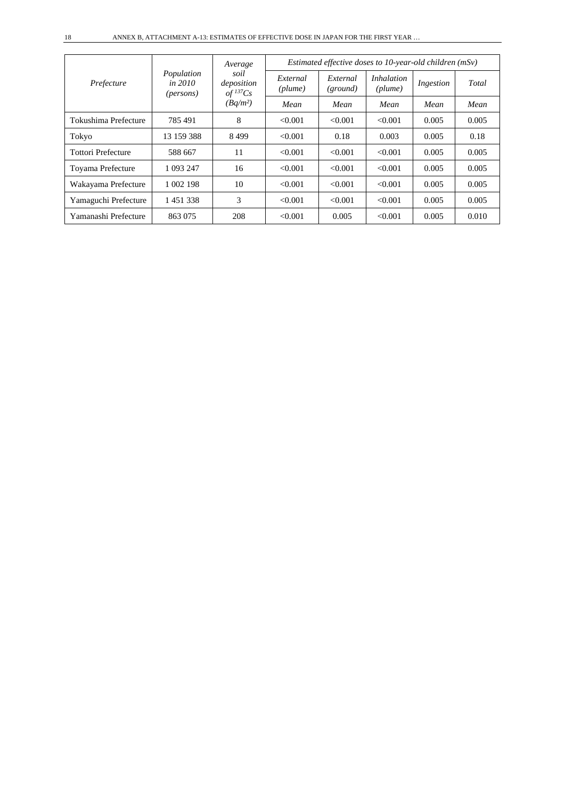| Prefecture                |                                                    | Average                                                    | Estimated effective doses to 10-year-old children $(mSv)$ |                      |                              |           |       |  |  |
|---------------------------|----------------------------------------------------|------------------------------------------------------------|-----------------------------------------------------------|----------------------|------------------------------|-----------|-------|--|--|
|                           | Population<br><i>in 2010</i><br>( <i>persons</i> ) | soil<br>deposition<br>$of$ <sup>137</sup> Cs<br>$(Bq/m^2)$ | External<br>(plume)                                       | External<br>(ground) | <i>Inhalation</i><br>(plume) | Ingestion | Total |  |  |
|                           |                                                    |                                                            | Mean                                                      | Mean                 | Mean                         | Mean      | Mean  |  |  |
| Tokushima Prefecture      | 785 491                                            | 8                                                          | < 0.001                                                   | < 0.001              | < 0.001                      | 0.005     | 0.005 |  |  |
| Tokyo                     | 13 159 388                                         | 8499                                                       | < 0.001                                                   | 0.18                 | 0.003                        | 0.005     | 0.18  |  |  |
| <b>Tottori Prefecture</b> | 588 667                                            | 11                                                         | < 0.001                                                   | < 0.001              | < 0.001                      | 0.005     | 0.005 |  |  |
| Toyama Prefecture         | 1 093 247                                          | 16                                                         | < 0.001                                                   | < 0.001              | < 0.001                      | 0.005     | 0.005 |  |  |
| Wakayama Prefecture       | 1 002 198                                          | 10                                                         | < 0.001                                                   | < 0.001              | < 0.001                      | 0.005     | 0.005 |  |  |
| Yamaguchi Prefecture      | 1451338                                            | 3                                                          | < 0.001                                                   | < 0.001              | < 0.001                      | 0.005     | 0.005 |  |  |
| Yamanashi Prefecture      | 863 075                                            | 208                                                        | < 0.001                                                   | 0.005                | < 0.001                      | 0.005     | 0.010 |  |  |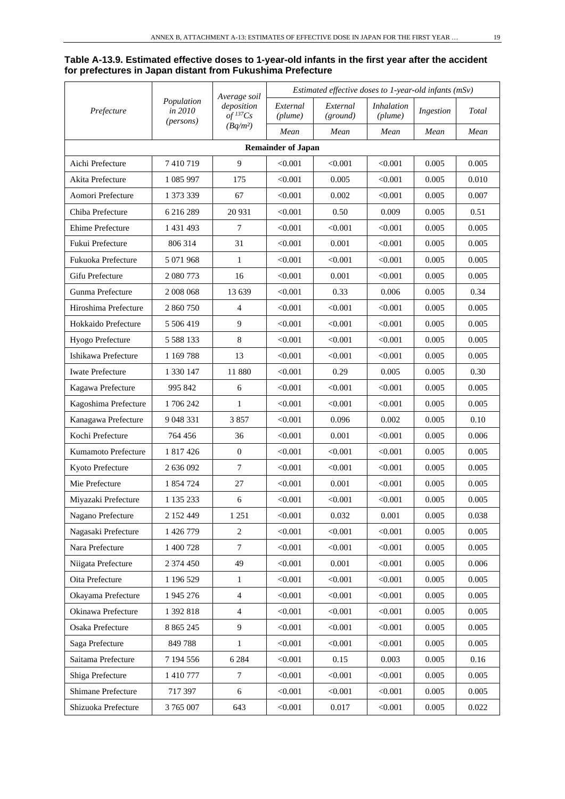#### **Table A-13.9. Estimated effective doses to 1-year-old infants in the first year after the accident for prefectures in Japan distant from Fukushima Prefecture**

|                           |                                             | Average soil<br>deposition<br>$of$ <sup>137</sup> Cs | Estimated effective doses to 1-year-old infants (mSv) |                      |                              |           |       |  |  |
|---------------------------|---------------------------------------------|------------------------------------------------------|-------------------------------------------------------|----------------------|------------------------------|-----------|-------|--|--|
| Prefecture                | Population<br>in 2010<br>( <i>persons</i> ) |                                                      | External<br>(plume)                                   | External<br>(ground) | <b>Inhalation</b><br>(plume) | Ingestion | Total |  |  |
|                           |                                             | $(Bq/m^2)$                                           | Mean                                                  | Mean                 | Mean                         | Mean      | Mean  |  |  |
| <b>Remainder of Japan</b> |                                             |                                                      |                                                       |                      |                              |           |       |  |  |
| Aichi Prefecture          | 7410719                                     | 9                                                    | < 0.001                                               | < 0.001              | < 0.001                      | 0.005     | 0.005 |  |  |
| Akita Prefecture          | 1 085 997                                   | 175                                                  | $< \!\! 0.001$                                        | 0.005                | < 0.001                      | 0.005     | 0.010 |  |  |
| Aomori Prefecture         | 1 373 339                                   | 67                                                   | < 0.001                                               | 0.002                | < 0.001                      | 0.005     | 0.007 |  |  |
| Chiba Prefecture          | 6 216 289                                   | 20 931                                               | < 0.001                                               | 0.50                 | 0.009                        | 0.005     | 0.51  |  |  |
| Ehime Prefecture          | 1 431 493                                   | 7                                                    | < 0.001                                               | < 0.001              | < 0.001                      | 0.005     | 0.005 |  |  |
| Fukui Prefecture          | 806 314                                     | 31                                                   | < 0.001                                               | 0.001                | < 0.001                      | 0.005     | 0.005 |  |  |
| Fukuoka Prefecture        | 5 071 968                                   | 1                                                    | < 0.001                                               | < 0.001              | < 0.001                      | 0.005     | 0.005 |  |  |
| Gifu Prefecture           | 2 080 773                                   | 16                                                   | < 0.001                                               | 0.001                | < 0.001                      | 0.005     | 0.005 |  |  |
| Gunma Prefecture          | 2 008 068                                   | 13 639                                               | < 0.001                                               | 0.33                 | 0.006                        | 0.005     | 0.34  |  |  |
| Hiroshima Prefecture      | 2 860 750                                   | $\overline{4}$                                       | < 0.001                                               | < 0.001              | < 0.001                      | 0.005     | 0.005 |  |  |
| Hokkaido Prefecture       | 5 506 419                                   | 9                                                    | < 0.001                                               | < 0.001              | < 0.001                      | 0.005     | 0.005 |  |  |
| Hyogo Prefecture          |                                             | $\,8\,$                                              | < 0.001                                               | < 0.001              | < 0.001                      | 0.005     | 0.005 |  |  |
| Ishikawa Prefecture       | 1 169 788                                   | 13                                                   | < 0.001                                               | < 0.001              | < 0.001                      | 0.005     | 0.005 |  |  |
| <b>Iwate Prefecture</b>   | 1 330 147                                   | 11 880                                               | < 0.001                                               | 0.29                 | 0.005                        | 0.005     | 0.30  |  |  |
| Kagawa Prefecture         | 995 842                                     | 6                                                    | < 0.001                                               | < 0.001              | < 0.001                      | 0.005     | 0.005 |  |  |
| Kagoshima Prefecture      | 1706242                                     | 1                                                    | < 0.001                                               | < 0.001              | < 0.001                      | 0.005     | 0.005 |  |  |
| Kanagawa Prefecture       | 9 048 331                                   | 3857                                                 | < 0.001                                               | 0.096                | 0.002                        | 0.005     | 0.10  |  |  |
| Kochi Prefecture          | 764 456                                     | 36                                                   | < 0.001                                               | 0.001                | < 0.001                      | 0.005     | 0.006 |  |  |
| Kumamoto Prefecture       | 1 817 426                                   | $\mathbf{0}$                                         | < 0.001                                               | < 0.001              | < 0.001                      | 0.005     | 0.005 |  |  |
| Kyoto Prefecture          | 2 636 092                                   | $\tau$                                               | < 0.001                                               | < 0.001              | < 0.001                      | 0.005     | 0.005 |  |  |
| Mie Prefecture            | 1 854 724                                   | 27                                                   | < 0.001                                               | 0.001                | < 0.001                      | 0.005     | 0.005 |  |  |
| Miyazaki Prefecture       | 1 135 233                                   | 6                                                    | < 0.001                                               | < 0.001              | < 0.001                      | 0.005     | 0.005 |  |  |
| Nagano Prefecture         | 2 152 449                                   | 1 2 5 1                                              | < 0.001                                               | 0.032                | 0.001                        | 0.005     | 0.038 |  |  |
| Nagasaki Prefecture       | 1 426 779                                   | $\sqrt{2}$                                           | < 0.001                                               | < 0.001              | < 0.001                      | 0.005     | 0.005 |  |  |
| Nara Prefecture           | 1 400 728                                   | $\boldsymbol{7}$                                     | < 0.001                                               | < 0.001              | < 0.001                      | 0.005     | 0.005 |  |  |
| Niigata Prefecture        | 2 374 450                                   | 49                                                   | < 0.001                                               | 0.001                | < 0.001                      | 0.005     | 0.006 |  |  |
| Oita Prefecture           | 1 196 529                                   | 1                                                    | < 0.001                                               | < 0.001              | < 0.001                      | 0.005     | 0.005 |  |  |
| Okayama Prefecture        | 1 945 276                                   | $\overline{4}$                                       | < 0.001                                               | < 0.001              | < 0.001                      | 0.005     | 0.005 |  |  |
| Okinawa Prefecture        | 1 392 818                                   | $\overline{4}$                                       | < 0.001                                               | < 0.001              | < 0.001                      | 0.005     | 0.005 |  |  |
| Osaka Prefecture          | 8 8 6 5 2 4 5                               | 9                                                    | < 0.001                                               | < 0.001              | < 0.001                      | 0.005     | 0.005 |  |  |
| Saga Prefecture           | 849788                                      | $\mathbf{1}$                                         | < 0.001                                               | < 0.001              | < 0.001                      | 0.005     | 0.005 |  |  |
| Saitama Prefecture        | 7 194 556                                   | 6 2 8 4                                              | < 0.001                                               | 0.15                 | 0.003                        | 0.005     | 0.16  |  |  |
| Shiga Prefecture          | 1 410 777                                   | $\tau$                                               | < 0.001                                               | < 0.001              | < 0.001                      | 0.005     | 0.005 |  |  |
| Shimane Prefecture        | 717 397                                     | 6                                                    | < 0.001                                               | < 0.001              | < 0.001                      | 0.005     | 0.005 |  |  |
| Shizuoka Prefecture       | 3 765 007                                   | 643                                                  | < 0.001                                               | 0.017                | < 0.001                      | 0.005     | 0.022 |  |  |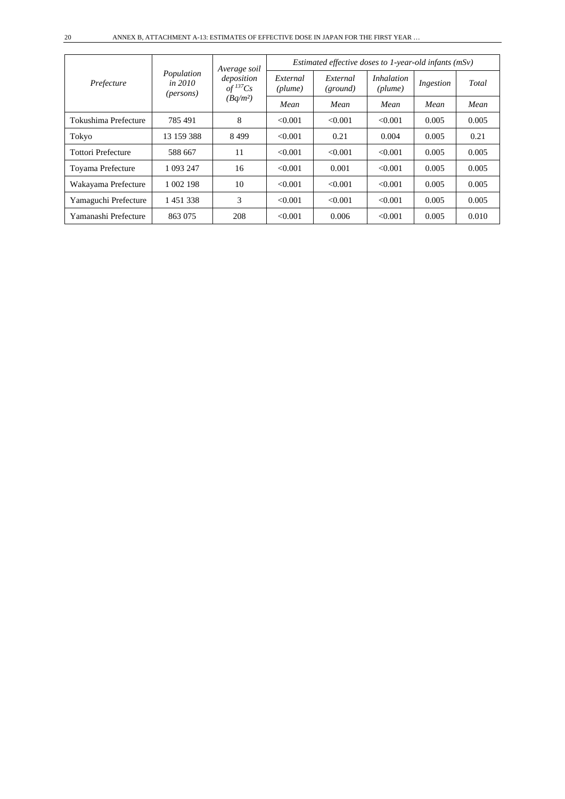| Prefecture                |                                                    | Average soil<br>deposition<br>$of$ <sup>137</sup> Cs<br>$(Bq/m^2)$ | Estimated effective doses to 1-year-old infants $(mSv)$ |                      |                              |           |       |  |  |
|---------------------------|----------------------------------------------------|--------------------------------------------------------------------|---------------------------------------------------------|----------------------|------------------------------|-----------|-------|--|--|
|                           | Population<br><i>in 2010</i><br>( <i>persons</i> ) |                                                                    | External<br>(plume)                                     | External<br>(ground) | <i>Inhalation</i><br>(plume) | Ingestion | Total |  |  |
|                           |                                                    |                                                                    | Mean                                                    | Mean                 | Mean                         | Mean      | Mean  |  |  |
| Tokushima Prefecture      | 785 491                                            | 8                                                                  | < 0.001                                                 | < 0.001              | < 0.001                      | 0.005     | 0.005 |  |  |
| Tokyo                     | 13 159 388                                         | 8499                                                               | < 0.001                                                 | 0.21                 | 0.004                        | 0.005     | 0.21  |  |  |
| <b>Tottori Prefecture</b> | 588 667                                            | 11                                                                 | < 0.001                                                 | < 0.001              | < 0.001                      | 0.005     | 0.005 |  |  |
| Toyama Prefecture         | 1 093 247                                          | 16                                                                 | < 0.001                                                 | 0.001                | < 0.001                      | 0.005     | 0.005 |  |  |
| Wakayama Prefecture       | 1 002 198                                          | 10                                                                 | < 0.001                                                 | < 0.001              | < 0.001                      | 0.005     | 0.005 |  |  |
| Yamaguchi Prefecture      | 1451338                                            | 3                                                                  | < 0.001                                                 | < 0.001              | < 0.001                      | 0.005     | 0.005 |  |  |
| Yamanashi Prefecture      | 863 075                                            | 208                                                                | < 0.001                                                 | 0.006                | < 0.001                      | 0.005     | 0.010 |  |  |